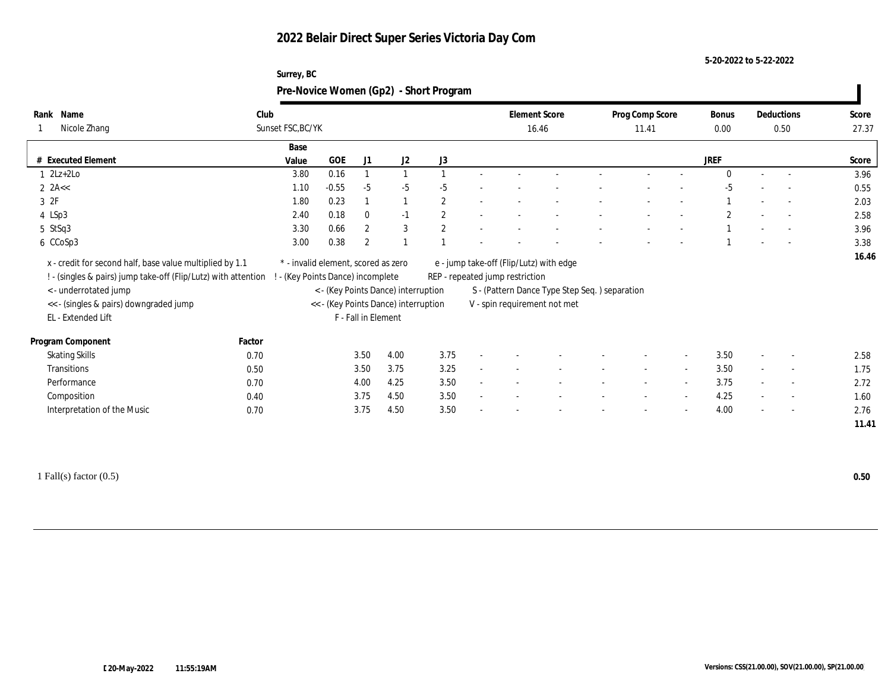**5-20-2022 to 5-22-2022**

|                                | Surrey, BC<br>Pre-Novice Women (Gp2) - Short Program |         |              |      |                |                               |  |                          |                          |               |        |                    |                |                          |       |
|--------------------------------|------------------------------------------------------|---------|--------------|------|----------------|-------------------------------|--|--------------------------|--------------------------|---------------|--------|--------------------|----------------|--------------------------|-------|
| lank Name<br>Nicole Zhang<br>1 | Club<br>Sunset FSC, BC/YK                            |         |              |      |                | <b>Element Score</b><br>16.46 |  | Prog Comp Score<br>11.41 |                          | Bonus<br>0.00 |        | Deductions<br>0.50 | Score<br>27.37 |                          |       |
|                                | Base                                                 |         |              |      |                |                               |  |                          |                          |               |        |                    |                |                          |       |
| <b>Executed Element</b>        | Value                                                | GOE     | J1           | J2   | J3             |                               |  |                          |                          |               |        | <b>JREF</b>        |                |                          | Score |
| $1 \quad 2Lz+2Lo$              | 3.80                                                 | 0.16    |              |      |                |                               |  |                          |                          |               |        |                    | $\sim$         |                          | 3.96  |
| $2$ 2A $<$                     | 1.10                                                 | $-0.55$ | -5           | -5   | -5             |                               |  |                          | $\overline{\phantom{a}}$ |               |        | -5                 | $\sim$         | $\sim 100$               | 0.55  |
| 3 2F                           | 1.80                                                 | 0.23    |              |      | $\overline{2}$ |                               |  |                          |                          |               |        |                    | $\overline{a}$ | <b>Contract Contract</b> | 2.03  |
| 4 LSp3                         | 2.40                                                 | 0.18    | $\mathbf{0}$ | $-1$ | 2              |                               |  |                          |                          |               |        |                    | $\sim$         | $\sim$ $-$               | 2.58  |
| 5 StSq3                        | 3.30                                                 | 0.66    | -2           | 3    | $\overline{2}$ |                               |  |                          |                          |               | $\sim$ |                    | $\sim$         | $\sim 100$               | 3.96  |

 **16.46** x - credit for second half, base value multiplied by 1.1 \* - invalid element, scored as zero e - jump take-off (Flip/Lutz) with edge ! - (singles & pairs) jump take-off (Flip/Lutz) with attention ! - (Key Points Dance) incomplete REP - repeated jump restriction

# 6 CCoSp3 3.38 3.00 0.38 2 1 1 - - - - - - - - - 1 - - 3.38

- < underrotated jump < (Key Points Dance) interruption S (Pattern Dance Type Step Seq. ) separation
- << (singles & pairs) downgraded jump << (Key Points Dance) interruption V spin requirement not met

**Rank** 1 Nicole Zhang

| EL - Extended Lift          |        | F - Fall in Element |      |                          |  |        |                          |                          |      |                          |                          |      |
|-----------------------------|--------|---------------------|------|--------------------------|--|--------|--------------------------|--------------------------|------|--------------------------|--------------------------|------|
| Program Component           | Factor |                     |      |                          |  |        |                          |                          |      |                          |                          |      |
| <b>Skating Skills</b>       | 0.70   | 3.50<br>4.00        | 3.75 | $\sim$                   |  | $\sim$ | $\sim$                   | $\overline{\phantom{a}}$ | 3.50 | $\overline{\phantom{0}}$ | $\overline{\phantom{a}}$ | 2.58 |
| Transitions                 | 0.50   | 3.50<br>3.75        | 3.25 | $\sim$                   |  | $\sim$ | $\overline{\phantom{a}}$ | $\overline{\phantom{a}}$ | 3.50 | $\overline{\phantom{a}}$ | $\sim$                   | 1.75 |
| Performance                 | 0.70   | 4.25<br>4.00        | 3.50 | $\sim$                   |  |        | $\sim$                   | $\sim$                   | 3.75 | $\overline{\phantom{0}}$ | $\sim$                   | 2.72 |
| Composition                 | 0.40   | 3.75<br>4.50        | 3.50 | $\overline{\phantom{0}}$ |  | $\sim$ | $\overline{\phantom{0}}$ | $\sim$                   | 4.25 | $\overline{\phantom{0}}$ | $\sim$ $-$               | 1.60 |
| Interpretation of the Music | 0.70   | 3.75<br>4.50        | 3.50 | $\sim$                   |  | $\sim$ | $\overline{\phantom{a}}$ | $\sim$                   | 4.00 | $\overline{\phantom{a}}$ | $\overline{\phantom{a}}$ | 2.76 |

1 Fall(s) factor (0.5) **0.50**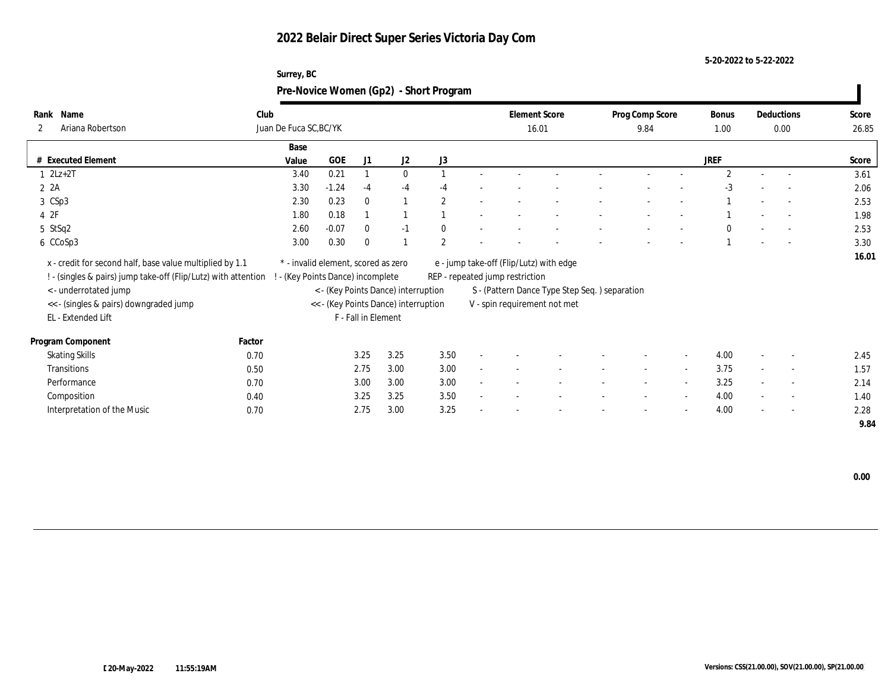**Surrey, BC**

**5-20-2022 to 5-22-2022**

|                                                                                                                            |        | Pre-Novice Women (Gp2) - Short Program                                 |         |                     |                                      |                |                                                                            |  |                         |        |                |        |                          |                |
|----------------------------------------------------------------------------------------------------------------------------|--------|------------------------------------------------------------------------|---------|---------------------|--------------------------------------|----------------|----------------------------------------------------------------------------|--|-------------------------|--------|----------------|--------|--------------------------|----------------|
| Rank Name<br>Ariana Robertson<br>2                                                                                         | Club   | Juan De Fuca SC, BC/YK                                                 |         |                     |                                      |                | <b>Element Score</b><br>16.01                                              |  | Prog Comp Score<br>9.84 |        | Bonus<br>1.00  |        | Deductions<br>0.00       | Score<br>26.85 |
|                                                                                                                            |        | Base                                                                   |         |                     |                                      |                |                                                                            |  |                         |        |                |        |                          |                |
| # Executed Element                                                                                                         |        | Value                                                                  | GOE     | J1                  | J2                                   | J3             |                                                                            |  |                         |        | <b>JREF</b>    |        |                          | Score          |
| $2Lz+2T$                                                                                                                   |        | 3.40                                                                   | 0.21    |                     | $\mathbf{0}$                         |                |                                                                            |  |                         |        | $\mathfrak{D}$ |        |                          | 3.61           |
| 2A                                                                                                                         |        | 3.30                                                                   | $-1.24$ | -4                  | $-4$                                 | -4             |                                                                            |  |                         |        | $-3$           |        |                          | 2.06           |
| 3 CSp3                                                                                                                     |        | 2.30                                                                   | 0.23    | $\Omega$            |                                      | $\overline{2}$ |                                                                            |  |                         |        |                |        | $\overline{\phantom{a}}$ | 2.53           |
| 42F                                                                                                                        |        | 1.80                                                                   | 0.18    |                     |                                      |                |                                                                            |  |                         |        |                |        | $\overline{\phantom{a}}$ | 1.98           |
| 5 StSq2                                                                                                                    |        | 2.60                                                                   | $-0.07$ |                     | $-1$                                 |                |                                                                            |  |                         |        |                |        |                          | 2.53           |
| 6 CCoSp3                                                                                                                   |        | 3.00                                                                   | 0.30    |                     |                                      | $\overline{2}$ |                                                                            |  |                         |        |                |        |                          | 3.30           |
| x - credit for second half, base value multiplied by 1.1<br>! - (singles & pairs) jump take-off (Flip/Lutz) with attention |        | * - invalid element, scored as zero<br>- (Key Points Dance) incomplete |         |                     |                                      |                | e - jump take-off (Flip/Lutz) with edge<br>REP - repeated jump restriction |  |                         |        |                |        |                          | 16.01          |
| < - underrotated jump                                                                                                      |        |                                                                        |         |                     | < - (Key Points Dance) interruption  |                | S - (Pattern Dance Type Step Seq.) separation                              |  |                         |        |                |        |                          |                |
| << - (singles & pairs) downgraded jump                                                                                     |        |                                                                        |         |                     | << - (Key Points Dance) interruption |                | V - spin requirement not met                                               |  |                         |        |                |        |                          |                |
| EL - Extended Lift                                                                                                         |        |                                                                        |         | F - Fall in Element |                                      |                |                                                                            |  |                         |        |                |        |                          |                |
| Program Component                                                                                                          | Factor |                                                                        |         |                     |                                      |                |                                                                            |  |                         |        |                |        |                          |                |
| <b>Skating Skills</b>                                                                                                      | 0.70   |                                                                        |         | 3.25                | 3.25                                 | 3.50           |                                                                            |  |                         |        | 4.00           |        |                          | 2.45           |
| Transitions                                                                                                                | 0.50   |                                                                        |         | 2.75                | 3.00                                 | 3.00           |                                                                            |  |                         |        | 3.75           |        |                          | 1.57           |
| Performance                                                                                                                | 0.70   |                                                                        |         | 3.00                | 3.00                                 | 3.00           |                                                                            |  |                         | $\sim$ | 3.25           | $\sim$ | $\sim$                   | 2.14           |
| Composition                                                                                                                | 0.40   |                                                                        |         | 3.25                | 3.25                                 | 3.50           |                                                                            |  |                         |        | 4.00           |        | $\overline{\phantom{a}}$ | 1.40           |

Interpretation of the Music **0.70** 0.70 2.75 3.00 3.25 - - - - - - - - - - 4.00 - - 2.28

 **9.84**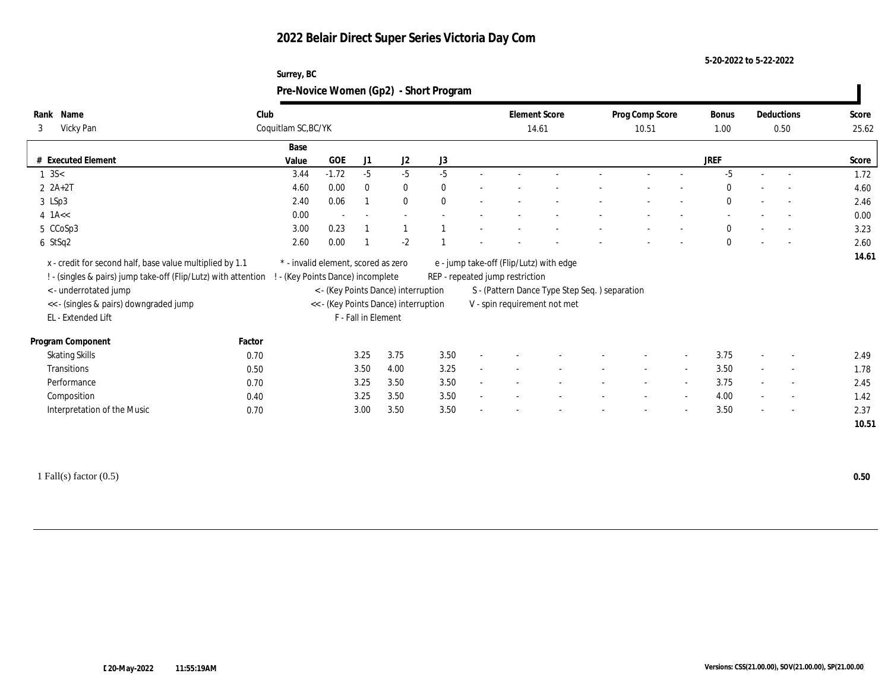#### **5-20-2022 to 5-22-2022**

| Surrey, BC                             |  |
|----------------------------------------|--|
| Pre-Novice Women (Gp2) - Short Program |  |

| Name<br>Rank                                                                                                                                        | Club   |                                                                          |         |                     |                                      |              |        | <b>Element Score</b>                                                       |                                               | Prog Comp Score          |        | Bonus        |        | Deductions               | Score |
|-----------------------------------------------------------------------------------------------------------------------------------------------------|--------|--------------------------------------------------------------------------|---------|---------------------|--------------------------------------|--------------|--------|----------------------------------------------------------------------------|-----------------------------------------------|--------------------------|--------|--------------|--------|--------------------------|-------|
| Vicky Pan<br>3                                                                                                                                      |        | Coquitlam SC, BC/YK                                                      |         |                     |                                      |              |        | 14.61                                                                      |                                               | 10.51                    |        | 1.00         |        | 0.50                     | 25.62 |
|                                                                                                                                                     |        | Base                                                                     |         |                     |                                      |              |        |                                                                            |                                               |                          |        |              |        |                          |       |
| # Executed Element                                                                                                                                  |        | Value                                                                    | GOE     | J1                  | J2                                   | J3           |        |                                                                            |                                               |                          |        | <b>JREF</b>  |        |                          | Score |
| $1 \text{ } 3S <$                                                                                                                                   |        | 3.44                                                                     | $-1.72$ | $-5$                | $-5$                                 | $-5$         |        |                                                                            |                                               |                          |        | $-5$         |        | $\overline{\phantom{a}}$ | 1.72  |
| $2 \; 2A+2T$                                                                                                                                        |        | 4.60                                                                     | 0.00    | $\mathbf{0}$        | $\bf{0}$                             | $\mathbf{0}$ |        |                                                                            |                                               |                          |        | $\Omega$     |        | $\overline{\phantom{a}}$ | 4.60  |
| 3 LSp3                                                                                                                                              |        | 2.40                                                                     | 0.06    |                     | $\bf{0}$                             | $\theta$     |        |                                                                            |                                               |                          |        | $\mathbf{0}$ |        | $\sim$                   | 2.46  |
| $4$ 1A <<                                                                                                                                           |        | 0.00                                                                     | $\sim$  |                     | $\sim$                               |              |        |                                                                            |                                               |                          |        |              |        |                          | 0.00  |
| 5 CCoSp3                                                                                                                                            |        | 3.00                                                                     | 0.23    |                     |                                      |              |        |                                                                            |                                               |                          |        | $\mathbf{0}$ |        | $\overline{\phantom{a}}$ | 3.23  |
| 6 StSq2                                                                                                                                             |        | 2.60                                                                     | 0.00    |                     | $-2$                                 |              |        |                                                                            |                                               |                          |        | $\mathbf{0}$ |        | $\overline{\phantom{a}}$ | 2.60  |
| x - credit for second half, base value multiplied by 1.1<br>! - (singles & pairs) jump take-off (Flip/Lutz) with attention<br>< - underrotated jump |        | * - invalid element, scored as zero<br>! - (Key Points Dance) incomplete |         |                     | < - (Key Points Dance) interruption  |              |        | e - jump take-off (Flip/Lutz) with edge<br>REP - repeated jump restriction | S - (Pattern Dance Type Step Seq.) separation |                          |        |              |        |                          | 14.61 |
| << - (singles & pairs) downgraded jump                                                                                                              |        |                                                                          |         |                     | << - (Key Points Dance) interruption |              |        |                                                                            | V - spin requirement not met                  |                          |        |              |        |                          |       |
| EL - Extended Lift                                                                                                                                  |        |                                                                          |         | F - Fall in Element |                                      |              |        |                                                                            |                                               |                          |        |              |        |                          |       |
| Program Component                                                                                                                                   | Factor |                                                                          |         |                     |                                      |              |        |                                                                            |                                               |                          |        |              |        |                          |       |
| <b>Skating Skills</b>                                                                                                                               | 0.70   |                                                                          |         | 3.25                | 3.75                                 | 3.50         | $\sim$ |                                                                            |                                               |                          | $\sim$ | 3.75         | $\sim$ | $\overline{\phantom{a}}$ | 2.49  |
| Transitions                                                                                                                                         | 0.50   |                                                                          |         | 3.50                | 4.00                                 | 3.25         | $\sim$ |                                                                            |                                               | $\overline{\phantom{a}}$ | $\sim$ | 3.50         | $\sim$ | $\sim$                   | 1.78  |
| Performance                                                                                                                                         | 0.70   |                                                                          |         | 3.25                | 3.50                                 | 3.50         |        |                                                                            |                                               | $\overline{\phantom{a}}$ | $\sim$ | 3.75         | $\sim$ | $\overline{\phantom{a}}$ | 2.45  |
| Composition                                                                                                                                         | 0.40   |                                                                          |         | 3.25                | 3.50                                 | 3.50         |        |                                                                            |                                               |                          |        | 4.00         |        | $\sim$                   | 1.42  |
| Interpretation of the Music                                                                                                                         | 0.70   |                                                                          |         | 3.00                | 3.50                                 | 3.50         |        |                                                                            |                                               |                          | $\sim$ | 3.50         | $\sim$ | $\sim$                   | 2.37  |
|                                                                                                                                                     |        |                                                                          |         |                     |                                      |              |        |                                                                            |                                               |                          |        |              |        |                          | 10.51 |

1 Fall(s) factor (0.5) **0.50**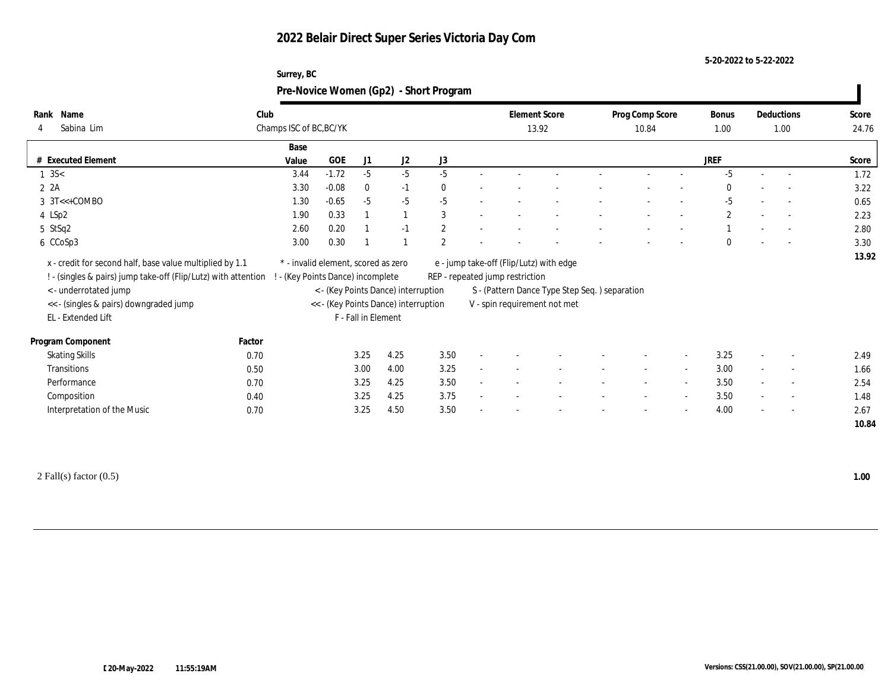#### **5-20-2022 to 5-22-2022**

| Surrey, BC |                                        |  |
|------------|----------------------------------------|--|
|            | Pre-Novice Women (Gp2) - Short Program |  |

| Name<br>Rank                                                   | Club                    |       |                                     |                     |                                      |                |        | <b>Element Score</b>            |                                               | Prog Comp Score          |                          | <b>Bonus</b>          |        | Deductions               | Score |
|----------------------------------------------------------------|-------------------------|-------|-------------------------------------|---------------------|--------------------------------------|----------------|--------|---------------------------------|-----------------------------------------------|--------------------------|--------------------------|-----------------------|--------|--------------------------|-------|
| Sabina Lim<br>4                                                | Champs ISC of BC, BC/YK |       |                                     |                     |                                      |                |        |                                 | 13.92                                         | 10.84                    |                          | 1.00                  |        | 1.00                     | 24.76 |
|                                                                |                         | Base  |                                     |                     |                                      |                |        |                                 |                                               |                          |                          |                       |        |                          |       |
| # Executed Element                                             |                         | Value | GOE                                 | J1                  | J <sub>2</sub>                       | J3             |        |                                 |                                               |                          |                          | <b>JREF</b>           |        |                          | Score |
| $1 \text{ } 3S <$                                              |                         | 3.44  | $-1.72$                             | $-5$                | $-5$                                 | $-5$           |        |                                 |                                               |                          |                          | $-5$                  |        | $\overline{\phantom{a}}$ | 1.72  |
| 2 2A                                                           |                         | 3.30  | $-0.08$                             | $\bf{0}$            | $-1$                                 | $\mathbf{0}$   |        |                                 |                                               |                          |                          | $\bf{0}$              |        | $\overline{\phantom{a}}$ | 3.22  |
| $3 \text{ } 3T \leftarrow \text{+COMBO}$                       |                         | 1.30  | $-0.65$                             | $-5$                | $-5$                                 | $-5$           |        |                                 |                                               |                          |                          | $-5$                  |        | $\overline{\phantom{a}}$ | 0.65  |
| 4 LSp2                                                         |                         | 1.90  | 0.33                                |                     |                                      | 3              |        |                                 |                                               |                          |                          | $\mathbf{2}^{\prime}$ |        | $\overline{\phantom{a}}$ | 2.23  |
| $5$ StSq2                                                      |                         | 2.60  | 0.20                                |                     | $-1$                                 | $\mathbf{2}$   |        |                                 |                                               |                          |                          |                       |        | $\overline{\phantom{a}}$ | 2.80  |
| 6 CCoSp3                                                       |                         | 3.00  | 0.30                                |                     |                                      | $\overline{2}$ |        |                                 |                                               |                          |                          | $\mathbf{0}$          |        | $\overline{\phantom{a}}$ | 3.30  |
| x - credit for second half, base value multiplied by 1.1       |                         |       | * - invalid element, scored as zero |                     |                                      |                |        |                                 | e - jump take-off (Flip/Lutz) with edge       |                          |                          |                       |        |                          | 13.92 |
| ! - (singles & pairs) jump take-off (Flip/Lutz) with attention |                         |       | - (Key Points Dance) incomplete     |                     |                                      |                |        | REP - repeated jump restriction |                                               |                          |                          |                       |        |                          |       |
| < - underrotated jump                                          |                         |       |                                     |                     | < - (Key Points Dance) interruption  |                |        |                                 | S - (Pattern Dance Type Step Seq.) separation |                          |                          |                       |        |                          |       |
| << - (singles & pairs) downgraded jump                         |                         |       |                                     |                     | << - (Key Points Dance) interruption |                |        |                                 | V - spin requirement not met                  |                          |                          |                       |        |                          |       |
| EL - Extended Lift                                             |                         |       |                                     | F - Fall in Element |                                      |                |        |                                 |                                               |                          |                          |                       |        |                          |       |
| Program Component                                              | Factor                  |       |                                     |                     |                                      |                |        |                                 |                                               |                          |                          |                       |        |                          |       |
| <b>Skating Skills</b>                                          | 0.70                    |       |                                     | 3.25                | 4.25                                 | 3.50           | $\sim$ |                                 |                                               |                          | $\sim$                   | 3.25                  | $\sim$ | $\overline{\phantom{a}}$ | 2.49  |
| Transitions                                                    | 0.50                    |       |                                     | 3.00                | 4.00                                 | 3.25           | $\sim$ |                                 |                                               | $\overline{\phantom{a}}$ | $\overline{\phantom{a}}$ | 3.00                  | $\sim$ | $\sim$                   | 1.66  |
| Performance                                                    | 0.70                    |       |                                     | 3.25                | 4.25                                 | 3.50           |        |                                 |                                               | $\overline{\phantom{a}}$ | $\sim$                   | 3.50                  | $\sim$ | $\overline{\phantom{a}}$ | 2.54  |
| Composition                                                    | 0.40                    |       |                                     | 3.25                | 4.25                                 | 3.75           |        |                                 |                                               |                          | $\sim$                   | 3.50                  |        | $\sim$                   | 1.48  |
|                                                                |                         |       |                                     |                     |                                      |                |        |                                 |                                               |                          |                          |                       |        |                          |       |
| Interpretation of the Music                                    | 0.70                    |       |                                     | 3.25                | 4.50                                 | 3.50           |        |                                 |                                               |                          | $\sim$                   | 4.00                  | $\sim$ | $\overline{\phantom{a}}$ | 2.67  |

2 Fall(s) factor (0.5) **1.00**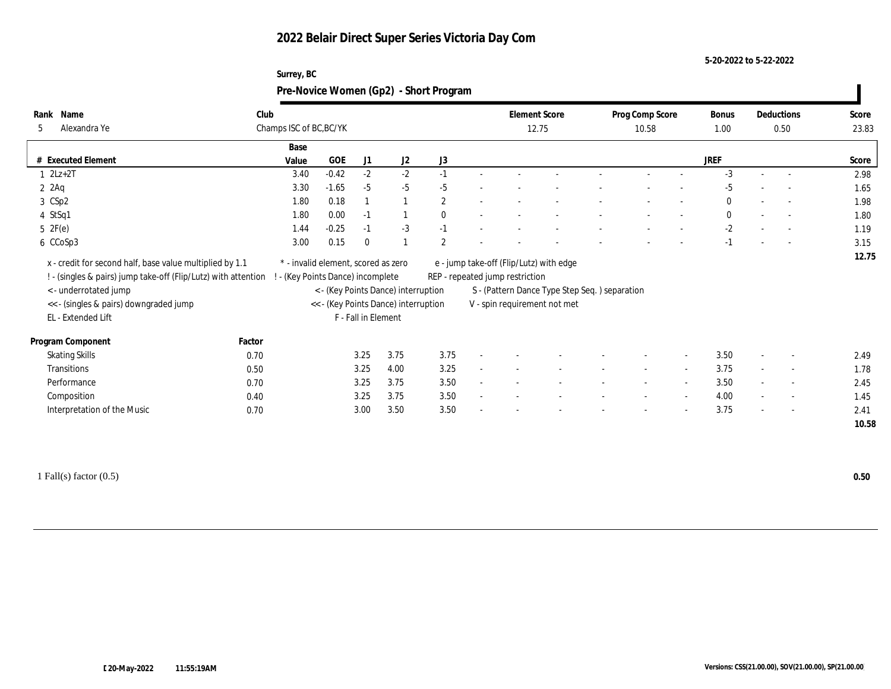#### **5-20-2022 to 5-22-2022**

| Surrey, BC                             |
|----------------------------------------|
| Pre-Novice Women (Gp2) - Short Program |
|                                        |

| Name<br>Rank<br>Alexandra Ye<br>5                                                                                                                                                            | Club   | Champs ISC of BC, BC/YK                                                |                     |          |                                                                             |                |                          | <b>Element Score</b><br>12.75                                              |                                                                               |                          | Prog Comp Score<br>10.58 |        | <b>Bonus</b><br>1.00 | Deductions<br>0.50       | Score<br>23.83 |
|----------------------------------------------------------------------------------------------------------------------------------------------------------------------------------------------|--------|------------------------------------------------------------------------|---------------------|----------|-----------------------------------------------------------------------------|----------------|--------------------------|----------------------------------------------------------------------------|-------------------------------------------------------------------------------|--------------------------|--------------------------|--------|----------------------|--------------------------|----------------|
|                                                                                                                                                                                              |        | Base                                                                   |                     |          |                                                                             |                |                          |                                                                            |                                                                               |                          |                          |        |                      |                          |                |
| <b>Executed Element</b>                                                                                                                                                                      |        | Value                                                                  | GOE                 | J1       | J <sub>2</sub>                                                              | J3             |                          |                                                                            |                                                                               |                          |                          |        | <b>JREF</b>          |                          | Score          |
| $1 2Lz+2T$                                                                                                                                                                                   |        | 3.40                                                                   | $-0.42$             | $-2$     | $-2$                                                                        | $-1$           |                          |                                                                            |                                                                               |                          |                          |        | $-3$                 | $\overline{\phantom{a}}$ | 2.98           |
| $2$ $2$ Aq                                                                                                                                                                                   |        | 3.30                                                                   | $-1.65$             | $-5$     | $-5$                                                                        | $-5$           |                          |                                                                            |                                                                               |                          |                          |        | $-5$                 |                          | 1.65           |
| 3 CSp2                                                                                                                                                                                       |        | 1.80                                                                   | 0.18                |          |                                                                             | $\overline{c}$ |                          |                                                                            |                                                                               |                          |                          |        |                      | $\sim$                   | 1.98           |
| 4 StSq1                                                                                                                                                                                      |        | 1.80                                                                   | 0.00                | $-1$     |                                                                             | $\mathbf{0}$   | $\overline{\phantom{a}}$ |                                                                            |                                                                               |                          |                          |        |                      | $\sim$                   | 1.80           |
| 5 2F(e)                                                                                                                                                                                      |        | 1.44                                                                   | $-0.25$             | $-1$     | $-3$                                                                        | $-1$           |                          |                                                                            |                                                                               |                          |                          |        | $-2$                 | $\overline{\phantom{a}}$ | 1.19           |
| 6 CCoSp3                                                                                                                                                                                     |        | 3.00                                                                   | 0.15                | $\bf{0}$ |                                                                             | $\overline{2}$ |                          |                                                                            |                                                                               |                          |                          |        |                      | $\overline{\phantom{a}}$ | 3.15           |
| x - credit for second half, base value multiplied by 1.1<br>! - (singles & pairs) jump take-off (Flip/Lutz) with attention<br><- underrotated jump<br><< - (singles & pairs) downgraded jump |        | * - invalid element, scored as zero<br>- (Key Points Dance) incomplete |                     |          | < - (Key Points Dance) interruption<br><< - (Key Points Dance) interruption |                |                          | e - jump take-off (Flip/Lutz) with edge<br>REP - repeated jump restriction | S - (Pattern Dance Type Step Seq.) separation<br>V - spin requirement not met |                          |                          |        |                      |                          | 12.75          |
| EL - Extended Lift                                                                                                                                                                           |        |                                                                        | F - Fall in Element |          |                                                                             |                |                          |                                                                            |                                                                               |                          |                          |        |                      |                          |                |
| Program Component                                                                                                                                                                            | Factor |                                                                        |                     |          |                                                                             |                |                          |                                                                            |                                                                               |                          |                          |        |                      |                          |                |
| <b>Skating Skills</b>                                                                                                                                                                        | 0.70   |                                                                        |                     | 3.25     | 3.75                                                                        | 3.75           |                          |                                                                            |                                                                               |                          |                          |        | 3.50                 |                          | 2.49           |
| <b>Transitions</b>                                                                                                                                                                           | 0.50   |                                                                        |                     | 3.25     | 4.00                                                                        | 3.25           |                          |                                                                            |                                                                               | $\overline{\phantom{a}}$ | $\sim$                   | $\sim$ | 3.75                 | $\sim$                   | 1.78           |
| Performance                                                                                                                                                                                  | 0.70   |                                                                        |                     | 3.25     | 3.75                                                                        | 3.50           |                          |                                                                            |                                                                               |                          |                          |        | 3.50                 | $\overline{\phantom{a}}$ | 2.45           |
| Composition                                                                                                                                                                                  | 0.40   |                                                                        |                     | 3.25     | 3.75                                                                        | 3.50           |                          |                                                                            |                                                                               |                          | $\sim$                   | $\sim$ | 4.00                 | $\sim$                   | 1.45           |
| Interpretation of the Music                                                                                                                                                                  | 0.70   |                                                                        |                     | 3.00     | 3.50                                                                        | 3.50           |                          |                                                                            |                                                                               |                          |                          |        | 3.75                 | $\overline{\phantom{0}}$ | 2.41           |
|                                                                                                                                                                                              |        |                                                                        |                     |          |                                                                             |                |                          |                                                                            |                                                                               |                          |                          |        |                      |                          | 10.58          |
|                                                                                                                                                                                              |        |                                                                        |                     |          |                                                                             |                |                          |                                                                            |                                                                               |                          |                          |        |                      |                          |                |

1 Fall(s) factor (0.5) **0.50**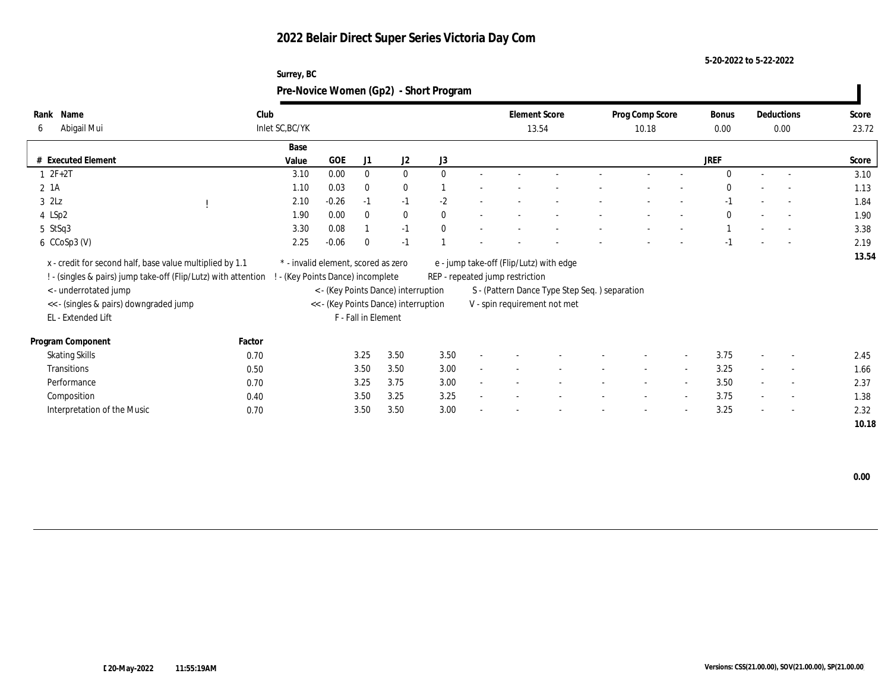**Surrey, BC**

**5-20-2022 to 5-22-2022**

|                                                                |        |                                     |         |                     |                                      | Pre-Novice Women (Gp2) - Short Program |                                 |                                                |                 |                          |             |                          |       |
|----------------------------------------------------------------|--------|-------------------------------------|---------|---------------------|--------------------------------------|----------------------------------------|---------------------------------|------------------------------------------------|-----------------|--------------------------|-------------|--------------------------|-------|
| Rank Name                                                      | Club   |                                     |         |                     |                                      |                                        | <b>Element Score</b>            |                                                | Prog Comp Score |                          | Bonus       | Deductions               | Score |
| Abigail Mui<br>6                                               |        | Inlet SC, BC/YK                     |         |                     |                                      |                                        | 13.54                           |                                                | 10.18           |                          | 0.00        | 0.00                     | 23.72 |
|                                                                |        | Base                                |         |                     |                                      |                                        |                                 |                                                |                 |                          |             |                          |       |
| # Executed Element                                             |        | Value                               | GOE     | J <sub>1</sub>      | J2                                   | J3                                     |                                 |                                                |                 |                          | <b>JREF</b> |                          | Score |
| $2F+2T$                                                        |        | 3.10                                | 0.00    | $\Omega$            | $\mathbf{0}$                         | $\Omega$                               |                                 |                                                |                 |                          | $\Omega$    |                          | 3.10  |
| $2$ 1A                                                         |        | 1.10                                | 0.03    | $\bf{0}$            | $\bf{0}$                             |                                        |                                 |                                                |                 |                          |             | $\overline{\phantom{a}}$ | 1.13  |
| $3$ $2\text{L}z$                                               |        | 2.10                                | $-0.26$ | $-1$                | $-1$                                 | $-2$                                   |                                 |                                                |                 |                          |             |                          | 1.84  |
| 4 LSp2                                                         |        | 1.90                                | 0.00    | $\Omega$            | $\bf{0}$                             |                                        |                                 |                                                |                 |                          | $\Omega$    | $\sim$                   | 1.90  |
| 5 StSq3                                                        |        | 3.30                                | 0.08    |                     | $-1$                                 |                                        |                                 |                                                |                 |                          |             |                          | 3.38  |
| 6 CCoSp3 (V)                                                   |        | 2.25                                | $-0.06$ |                     | $-1$                                 |                                        |                                 |                                                |                 |                          |             |                          | 2.19  |
| x - credit for second half, base value multiplied by 1.1       |        | * - invalid element, scored as zero |         |                     |                                      |                                        |                                 | e - jump take-off (Flip/Lutz) with edge        |                 |                          |             |                          | 13.54 |
| ! - (singles & pairs) jump take-off (Flip/Lutz) with attention |        | - (Key Points Dance) incomplete     |         |                     |                                      |                                        | REP - repeated jump restriction |                                                |                 |                          |             |                          |       |
| < - underrotated jump                                          |        |                                     |         |                     | < - (Key Points Dance) interruption  |                                        |                                 | S - (Pattern Dance Type Step Seq. ) separation |                 |                          |             |                          |       |
| << - (singles & pairs) downgraded jump                         |        |                                     |         |                     | << - (Key Points Dance) interruption |                                        |                                 | V - spin requirement not met                   |                 |                          |             |                          |       |
| EL - Extended Lift                                             |        |                                     |         | F - Fall in Element |                                      |                                        |                                 |                                                |                 |                          |             |                          |       |
| Program Component                                              | Factor |                                     |         |                     |                                      |                                        |                                 |                                                |                 |                          |             |                          |       |
| <b>Skating Skills</b>                                          | 0.70   |                                     |         | 3.25                | 3.50                                 | 3.50                                   |                                 |                                                |                 |                          | 3.75        |                          | 2.45  |
| Transitions                                                    | 0.50   |                                     |         | 3.50                | 3.50                                 | 3.00                                   |                                 |                                                |                 | $\overline{\phantom{a}}$ | 3.25        |                          | 1.66  |
| Performance                                                    | 0.70   |                                     |         | 3.25                | 3.75                                 | 3.00                                   |                                 |                                                |                 | $\overline{\phantom{a}}$ | 3.50        |                          | 2.37  |
| Composition                                                    | 0.40   |                                     |         | 3.50                | 3.25                                 | 3.25                                   |                                 |                                                |                 | $\overline{\phantom{a}}$ | 3.75        |                          | 1.38  |
| Interpretation of the Music                                    | 0.70   |                                     |         | 3.50                | 3.50                                 | 3.00                                   |                                 |                                                |                 |                          | 3.25        |                          | 2.32  |
|                                                                |        |                                     |         |                     |                                      |                                        |                                 |                                                |                 |                          |             |                          | 10.18 |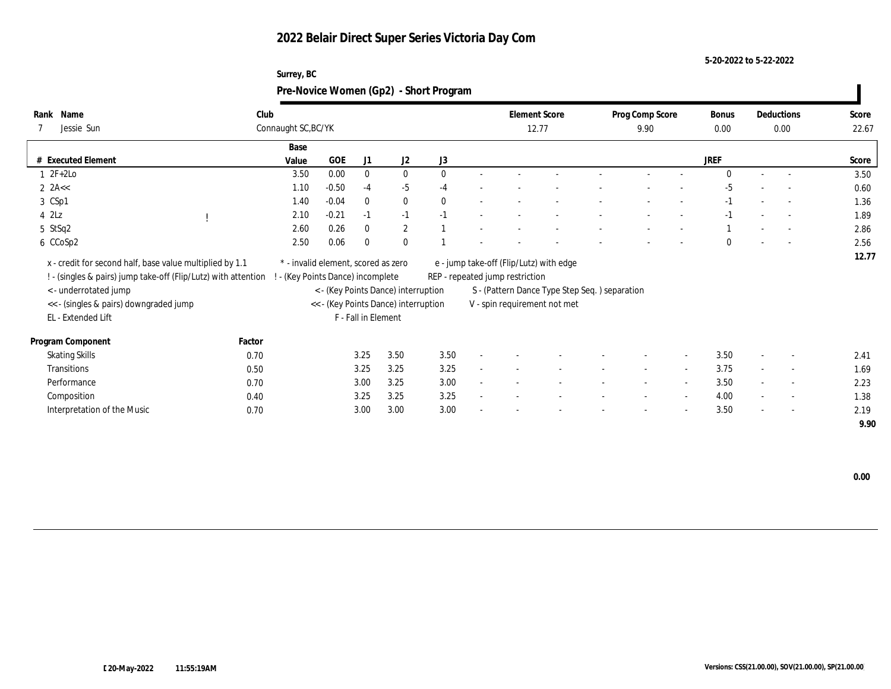**Surrey, BC**

**5-20-2022 to 5-22-2022**

|                                                                                                                                                                                                                     |        | Pre-Novice Women (Gp2) - Short Program |                                                                        |                     |                                                                             |      |                                                                            |                              |                                               |                         |                          |               |                |                          |                |
|---------------------------------------------------------------------------------------------------------------------------------------------------------------------------------------------------------------------|--------|----------------------------------------|------------------------------------------------------------------------|---------------------|-----------------------------------------------------------------------------|------|----------------------------------------------------------------------------|------------------------------|-----------------------------------------------|-------------------------|--------------------------|---------------|----------------|--------------------------|----------------|
| Rank Name<br>Jessie Sun                                                                                                                                                                                             |        | Club<br>Connaught SC, BC/YK            |                                                                        |                     |                                                                             |      | <b>Element Score</b><br>12.77                                              |                              |                                               | Prog Comp Score<br>9.90 |                          | Bonus<br>0.00 |                | Deductions<br>0.00       | Score<br>22.67 |
| # Executed Element                                                                                                                                                                                                  |        | Base<br>Value                          | <b>GOE</b>                                                             | J1                  | J2                                                                          | J3   |                                                                            |                              |                                               |                         |                          | <b>JREF</b>   |                |                          | Score          |
| $2F+2Lo$                                                                                                                                                                                                            |        | 3.50                                   | 0.00                                                                   | $\Omega$            | $\mathbf{0}$                                                                |      |                                                                            |                              |                                               |                         |                          | $\Omega$      |                |                          | 3.50           |
| $2$ 2A <<                                                                                                                                                                                                           |        | 1.10                                   | $-0.50$                                                                | $-4$                | $-5$                                                                        | -4   |                                                                            |                              |                                               |                         |                          | -5            |                |                          | 0.60           |
| 3 CSp1                                                                                                                                                                                                              |        | 1.40                                   | $-0.04$                                                                |                     | $\bf{0}$                                                                    |      |                                                                            |                              |                                               |                         |                          |               |                | $\overline{\phantom{a}}$ | 1.36           |
| $4$ $2\text{L}z$                                                                                                                                                                                                    |        | 2.10                                   | $-0.21$                                                                | $\sim$              | $-1$                                                                        |      |                                                                            |                              |                                               |                         |                          |               |                |                          | 1.89           |
| 5 StSq2                                                                                                                                                                                                             |        | 2.60                                   | 0.26                                                                   |                     | $\overline{2}$                                                              |      |                                                                            |                              |                                               |                         |                          |               |                | $\overline{\phantom{a}}$ | 2.86           |
| 6 CCoSp2                                                                                                                                                                                                            |        | 2.50                                   | 0.06                                                                   |                     | $\mathbf{0}$                                                                |      |                                                                            |                              |                                               |                         |                          | $\theta$      |                | $\overline{\phantom{a}}$ | 2.56           |
| x - credit for second half, base value multiplied by 1.1<br>! - (singles & pairs) jump take-off (Flip/Lutz) with attention<br>< - underrotated jump<br><< - (singles & pairs) downgraded jump<br>EL - Extended Lift |        |                                        | * - invalid element, scored as zero<br>- (Key Points Dance) incomplete | F - Fall in Element | < - (Key Points Dance) interruption<br><< - (Key Points Dance) interruption |      | e - jump take-off (Flip/Lutz) with edge<br>REP - repeated jump restriction | V - spin requirement not met | S - (Pattern Dance Type Step Seq.) separation |                         |                          |               |                |                          | 12.77          |
| Program Component                                                                                                                                                                                                   | Factor |                                        |                                                                        |                     |                                                                             |      |                                                                            |                              |                                               |                         |                          |               |                |                          |                |
| <b>Skating Skills</b>                                                                                                                                                                                               | 0.70   |                                        |                                                                        | 3.25                | 3.50                                                                        | 3.50 |                                                                            |                              |                                               |                         | $\overline{\phantom{a}}$ | 3.50          | $\overline{a}$ |                          | 2.41           |
| Transitions                                                                                                                                                                                                         | 0.50   |                                        |                                                                        | 3.25                | 3.25                                                                        | 3.25 |                                                                            |                              |                                               |                         | $\sim$                   | 3.75          | $\sim$         | $\overline{a}$           | 1.69           |
| Performance                                                                                                                                                                                                         | 0.70   |                                        |                                                                        | 3.00                | 3.25                                                                        | 3.00 |                                                                            |                              |                                               |                         | $\sim$                   | 3.50          |                | $\sim$                   | 2.23           |

Interpretation of the Music **0.70** 0.70 3.00 3.00 3.00 3.00 - - - - - - - - - - 3.50 - - 2.19

Composition 0.40 3.25 3.25 3.25 - - - - - - 4.00 - - 1.38

 **0.00**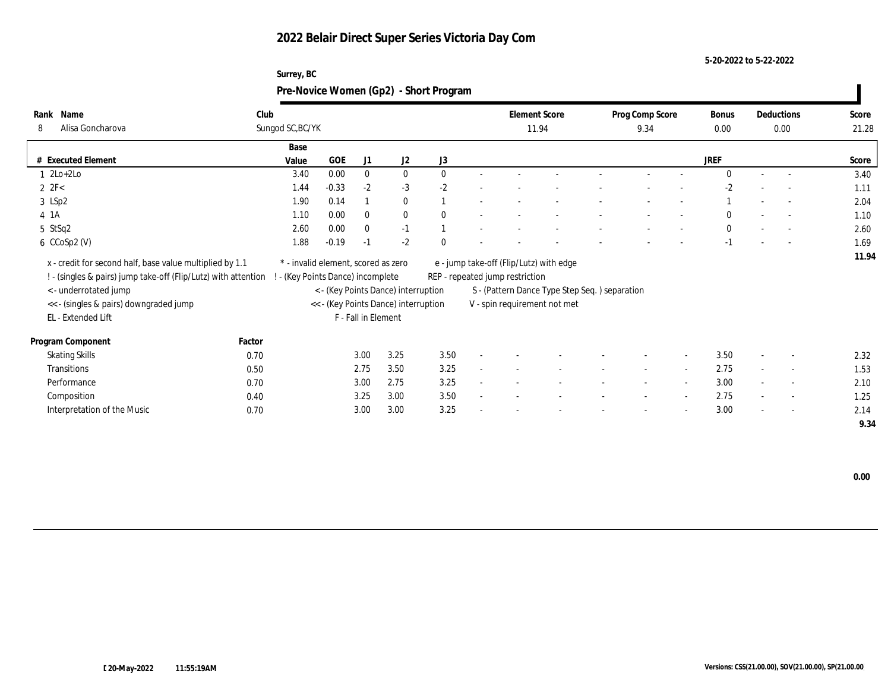#### **5-20-2022 to 5-22-2022**

|                  | Surrey, BC                                        |                      |                 |             |            |       |
|------------------|---------------------------------------------------|----------------------|-----------------|-------------|------------|-------|
|                  | Pre-Novice Women (Gp2) - Short Program            |                      |                 |             |            |       |
| Name             | Club                                              | <b>Element Score</b> | Prog Comp Score | Bonus       | Deductions | Score |
| Alisa Goncharova | Sungod SC, BC/YK                                  | 11.94                | 9.34            | 0.00        | 0.00       | 21.28 |
|                  | Base                                              |                      |                 |             |            |       |
| cuted Element    | J3<br><b>GOE</b><br>J <sub>2</sub><br>Value<br>J1 |                      |                 | <b>JREF</b> |            | Score |

| Surrey, BC                             |  |
|----------------------------------------|--|
| Pre-Novice Women (Gp2) - Short Program |  |

| Alisa Goncharova<br>8                                          |        | Sungod SC, BC/YK                    |            |                     |                                      |              |                                 | 11.94                                         | 9.34                     |                          | 0.00         |                          | 0.00                     | 21.28 |
|----------------------------------------------------------------|--------|-------------------------------------|------------|---------------------|--------------------------------------|--------------|---------------------------------|-----------------------------------------------|--------------------------|--------------------------|--------------|--------------------------|--------------------------|-------|
|                                                                |        | Base                                |            |                     |                                      |              |                                 |                                               |                          |                          |              |                          |                          |       |
| <b>Executed Element</b>                                        |        | Value                               | <b>GOE</b> | J1                  | J2                                   | J3           |                                 |                                               |                          |                          | <b>JREF</b>  |                          |                          | Score |
| $1 \ \ 2Lo+2Lo$                                                |        | 3.40                                | 0.00       | $\bf{0}$            | $\bf{0}$                             | $\mathbf{0}$ |                                 |                                               |                          |                          | $\theta$     |                          | $\sim$                   | 3.40  |
| 2 $2F<$                                                        |        | 1.44                                | $-0.33$    | $-2$                | $-3$                                 | $-2$         |                                 |                                               |                          |                          | $-2$         |                          |                          | 1.11  |
| 3 LSp2                                                         |        | 1.90                                | 0.14       |                     | $\bf{0}$                             |              |                                 |                                               |                          |                          |              | $\overline{\phantom{a}}$ |                          | 2.04  |
| 4 1 A                                                          |        | 1.10                                | 0.00       | $\bf{0}$            | $\bf{0}$                             | $\theta$     |                                 |                                               |                          |                          | $\mathbf{0}$ | $\sim$                   | $\sim$                   | 1.10  |
| 5 StSq2                                                        |        | 2.60                                | 0.00       | $\bf{0}$            | $-1$                                 |              |                                 |                                               |                          |                          | $\bf{0}$     |                          | $\overline{\phantom{a}}$ | 2.60  |
| $6$ CCoSp2 (V)                                                 |        | 1.88                                | $-0.19$    | $-1$                | $-2$                                 | $\mathbf{0}$ |                                 |                                               |                          |                          | $-1$         |                          |                          | 1.69  |
| x - credit for second half, base value multiplied by 1.1       |        | * - invalid element, scored as zero |            |                     |                                      |              |                                 | e - jump take-off (Flip/Lutz) with edge       |                          |                          |              |                          |                          | 11.94 |
| ! - (singles & pairs) jump take-off (Flip/Lutz) with attention |        | - (Key Points Dance) incomplete     |            |                     |                                      |              | REP - repeated jump restriction |                                               |                          |                          |              |                          |                          |       |
| < - underrotated jump                                          |        |                                     |            |                     | < - (Key Points Dance) interruption  |              |                                 | S - (Pattern Dance Type Step Seq.) separation |                          |                          |              |                          |                          |       |
| << - (singles & pairs) downgraded jump                         |        |                                     |            |                     | << - (Key Points Dance) interruption |              |                                 | V - spin requirement not met                  |                          |                          |              |                          |                          |       |
| EL - Extended Lift                                             |        |                                     |            | F - Fall in Element |                                      |              |                                 |                                               |                          |                          |              |                          |                          |       |
| Program Component                                              | Factor |                                     |            |                     |                                      |              |                                 |                                               |                          |                          |              |                          |                          |       |
| <b>Skating Skills</b>                                          | 0.70   |                                     |            | 3.00                | 3.25                                 | 3.50         |                                 |                                               |                          | $\overline{\phantom{a}}$ | 3.50         | $\overline{\phantom{a}}$ | $\sim$                   | 2.32  |
| Transitions                                                    | 0.50   |                                     |            | 2.75                | 3.50                                 | 3.25         |                                 |                                               | $\sim$                   | $\sim$                   | 2.75         | $\sim$                   | $\sim$                   | 1.53  |
| Performance                                                    | 0.70   |                                     |            | 3.00                | 2.75                                 | 3.25         |                                 |                                               | $\overline{\phantom{a}}$ | $\overline{\phantom{a}}$ | 3.00         | $\sim$                   | $\sim$                   | 2.10  |
| Composition                                                    | 0.40   |                                     |            | 3.25                | 3.00                                 | 3.50         |                                 |                                               | $\overline{\phantom{a}}$ | $\overline{a}$           | 2.75         | $\overline{\phantom{a}}$ | $\sim$                   | 1.25  |
| Interpretation of the Music                                    | 0.70   |                                     |            | 3.00                | 3.00                                 | 3.25         |                                 |                                               | $\overline{\phantom{a}}$ | $\overline{a}$           | 3.00         | $\overline{\phantom{a}}$ | $\sim$                   | 2.14  |
|                                                                |        |                                     |            |                     |                                      |              |                                 |                                               |                          |                          |              |                          |                          | 9.34  |

**Rank**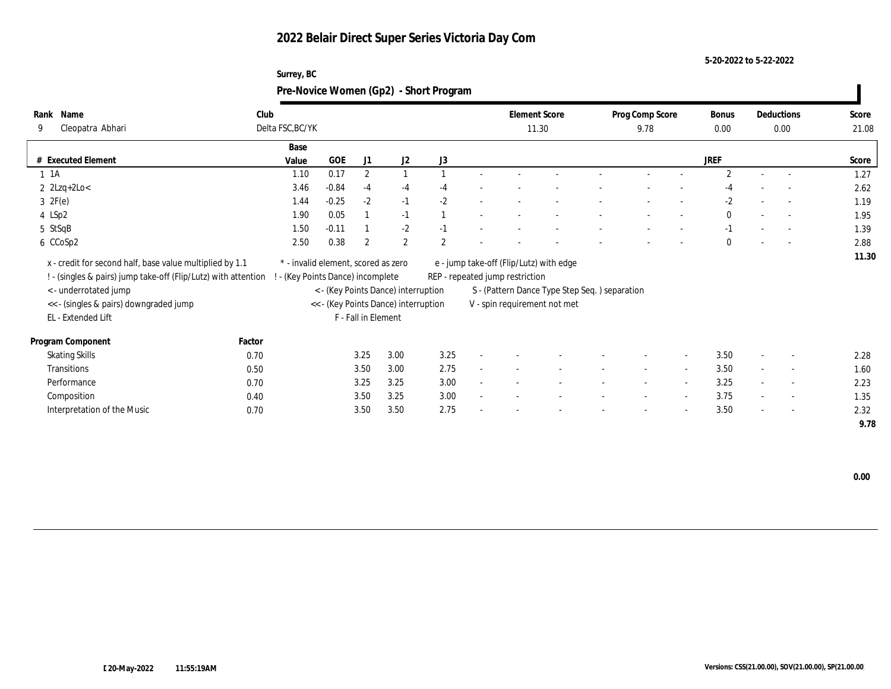**Surrey, BC**

**5-20-2022 to 5-22-2022**

| Rank Name                                                      | Club   |                                     |         |                     |                                      |                | <b>Element Score</b>                    |                                               | Prog Comp Score |                          | <b>Bonus</b>   |                          | Deductions               | Score |
|----------------------------------------------------------------|--------|-------------------------------------|---------|---------------------|--------------------------------------|----------------|-----------------------------------------|-----------------------------------------------|-----------------|--------------------------|----------------|--------------------------|--------------------------|-------|
| Cleopatra Abhari<br>9                                          |        | Delta FSC, BC/YK                    |         |                     |                                      |                |                                         | 11.30                                         | 9.78            |                          | 0.00           |                          | 0.00                     | 21.08 |
|                                                                |        | Base                                |         |                     |                                      |                |                                         |                                               |                 |                          |                |                          |                          |       |
| # Executed Element                                             |        | Value                               | GOE     | J1                  | J2                                   | J3             |                                         |                                               |                 |                          | JREF           |                          |                          | Score |
| $1 \t1A$                                                       |        | 1.10                                | 0.17    | $\boldsymbol{2}$    |                                      |                |                                         |                                               |                 |                          | $\overline{2}$ |                          |                          | 1.27  |
| $2$ 2Lzq+2Lo<                                                  |        | 3.46                                | $-0.84$ | $-4$                | $-4$                                 | -4             |                                         |                                               |                 |                          |                |                          |                          | 2.62  |
| $3 \t2F(e)$                                                    |        | 1.44                                | $-0.25$ | $-2$                | $-1$                                 | $-2$           |                                         |                                               |                 |                          | $-2$           |                          |                          | 1.19  |
| 4 LSp2                                                         |        | 1.90                                | 0.05    |                     | $-1$                                 |                |                                         |                                               |                 |                          | $\bf{0}$       |                          | $\overline{\phantom{a}}$ | 1.95  |
| 5 StSqB                                                        |        | 1.50                                | $-0.11$ |                     | $-2$                                 | $-1$           |                                         |                                               |                 |                          |                |                          | $\overline{\phantom{a}}$ | 1.39  |
| 6 CCoSp2                                                       |        | 2.50                                | 0.38    | $\overline{2}$      | $\overline{2}$                       | $\overline{2}$ |                                         |                                               |                 |                          | $\mathbf{0}$   |                          | $\overline{\phantom{a}}$ | 2.88  |
| x - credit for second half, base value multiplied by 1.1       |        | * - invalid element, scored as zero |         |                     |                                      |                | e - jump take-off (Flip/Lutz) with edge |                                               |                 |                          |                |                          |                          | 11.30 |
| ! - (singles & pairs) jump take-off (Flip/Lutz) with attention |        | - (Key Points Dance) incomplete     |         |                     |                                      |                | REP - repeated jump restriction         |                                               |                 |                          |                |                          |                          |       |
| < - underrotated jump                                          |        |                                     |         |                     | < - (Key Points Dance) interruption  |                |                                         | S - (Pattern Dance Type Step Seq.) separation |                 |                          |                |                          |                          |       |
| << - (singles & pairs) downgraded jump                         |        |                                     |         |                     | << - (Key Points Dance) interruption |                | V - spin requirement not met            |                                               |                 |                          |                |                          |                          |       |
| EL - Extended Lift                                             |        |                                     |         | F - Fall in Element |                                      |                |                                         |                                               |                 |                          |                |                          |                          |       |
|                                                                |        |                                     |         |                     |                                      |                |                                         |                                               |                 |                          |                |                          |                          |       |
| Program Component                                              | Factor |                                     |         |                     |                                      |                |                                         |                                               |                 |                          |                |                          |                          |       |
| <b>Skating Skills</b>                                          | 0.70   |                                     |         | 3.25                | 3.00                                 | 3.25           |                                         |                                               |                 |                          | 3.50           |                          |                          | 2.28  |
| Transitions                                                    | 0.50   |                                     |         | 3.50                | 3.00                                 | 2.75           |                                         |                                               |                 | $\sim$                   | 3.50           |                          |                          | 1.60  |
| Performance                                                    | 0.70   |                                     |         | 3.25                | 3.25                                 | 3.00           |                                         |                                               |                 | $\sim$                   | 3.25           |                          |                          | 2.23  |
| Composition                                                    | 0.40   |                                     |         | 3.50                | 3.25                                 | 3.00           |                                         |                                               |                 | $\sim$                   | 3.75           | $\sim$                   |                          | 1.35  |
| Interpretation of the Music                                    | 0.70   |                                     |         | 3.50                | 3.50                                 | 2.75           |                                         |                                               |                 | $\overline{\phantom{a}}$ | 3.50           | $\overline{\phantom{a}}$ |                          | 2.32  |
|                                                                |        |                                     |         |                     |                                      |                |                                         |                                               |                 |                          |                |                          |                          | 9.78  |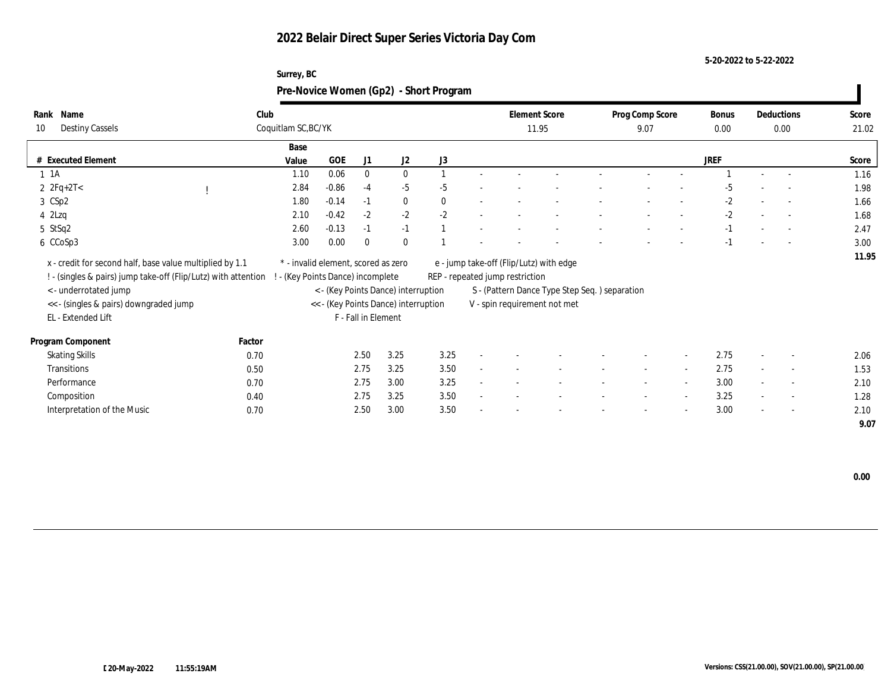#### **5-20-2022 to 5-22-2022**

| Surrey, BC                             |  |
|----------------------------------------|--|
| Pre-Novice Women (Gp2) - Short Program |  |

| Name<br>Rank                                                   | Club                                |         |                     |                                      |          |        | <b>Element Score</b>            |                                               | Prog Comp Score          |                          | Bonus       |        | Deductions               | Score |
|----------------------------------------------------------------|-------------------------------------|---------|---------------------|--------------------------------------|----------|--------|---------------------------------|-----------------------------------------------|--------------------------|--------------------------|-------------|--------|--------------------------|-------|
| <b>Destiny Cassels</b><br>10                                   | Coquitlam SC, BC/YK                 |         |                     |                                      |          |        |                                 | 11.95                                         | 9.07                     |                          | 0.00        |        | 0.00                     | 21.02 |
|                                                                | Base                                |         |                     |                                      |          |        |                                 |                                               |                          |                          |             |        |                          |       |
| # Executed Element                                             | Value                               | GOE     | J1                  | J2                                   | J3       |        |                                 |                                               |                          |                          | <b>JREF</b> |        |                          | Score |
| $1 \t1A$                                                       | 1.10                                | 0.06    | $\mathbf{0}$        | $\mathbf{0}$                         |          |        |                                 |                                               |                          |                          |             |        |                          | 1.16  |
| 2 $2Fq+2T<$                                                    | 2.84                                | $-0.86$ | $-4$                | $-5$                                 | $-5$     |        |                                 |                                               |                          |                          | $-5$        |        | $\overline{\phantom{a}}$ | 1.98  |
| 3 CSp2                                                         | 1.80                                | $-0.14$ | $-1$                | $\bf{0}$                             | $\theta$ | $\sim$ |                                 |                                               |                          |                          | $-2$        |        | $\overline{\phantom{a}}$ | 1.66  |
| 4 2Lzq                                                         | 2.10                                | $-0.42$ | $-2$                | $-2$                                 | $-2$     |        |                                 |                                               |                          |                          | $-2$        |        | $\overline{\phantom{a}}$ | 1.68  |
| 5 StSq2                                                        | 2.60                                | $-0.13$ | $-1$                | $-1$                                 |          |        |                                 |                                               |                          |                          | $-1$        |        |                          | 2.47  |
| 6 CCoSp3                                                       | 3.00                                | 0.00    | $\bf{0}$            | $\mathbf{0}$                         |          |        |                                 |                                               |                          |                          | $-1$        |        | $\overline{\phantom{a}}$ | 3.00  |
| x - credit for second half, base value multiplied by 1.1       | * - invalid element, scored as zero |         |                     |                                      |          |        |                                 | e - jump take-off (Flip/Lutz) with edge       |                          |                          |             |        |                          | 11.95 |
| ! - (singles & pairs) jump take-off (Flip/Lutz) with attention | - (Key Points Dance) incomplete     |         |                     |                                      |          |        | REP - repeated jump restriction |                                               |                          |                          |             |        |                          |       |
| < - underrotated jump                                          |                                     |         |                     | < - (Key Points Dance) interruption  |          |        |                                 | S - (Pattern Dance Type Step Seq.) separation |                          |                          |             |        |                          |       |
| << - (singles & pairs) downgraded jump                         |                                     |         |                     | << - (Key Points Dance) interruption |          |        |                                 | V - spin requirement not met                  |                          |                          |             |        |                          |       |
| EL - Extended Lift                                             |                                     |         | F - Fall in Element |                                      |          |        |                                 |                                               |                          |                          |             |        |                          |       |
|                                                                |                                     |         |                     |                                      |          |        |                                 |                                               |                          |                          |             |        |                          |       |
| Program Component                                              | Factor                              |         |                     |                                      |          |        |                                 |                                               |                          |                          |             |        |                          |       |
| <b>Skating Skills</b>                                          | 0.70                                |         | 2.50                | 3.25                                 | 3.25     |        |                                 |                                               |                          | $\sim$                   | 2.75        |        | $\overline{\phantom{a}}$ | 2.06  |
| Transitions                                                    | $0.50\,$                            |         | 2.75                | 3.25                                 | 3.50     | $\sim$ |                                 |                                               | $\sim$                   | $\sim$                   | 2.75        | $\sim$ | $\overline{\phantom{a}}$ | 1.53  |
| Performance                                                    | 0.70                                |         | 2.75                | 3.00                                 | 3.25     | $\sim$ |                                 |                                               | $\overline{\phantom{a}}$ | $\sim$                   | 3.00        | $\sim$ | $\overline{\phantom{a}}$ | 2.10  |
| Composition                                                    | 0.40                                |         | 2.75                | 3.25                                 | 3.50     | $\sim$ |                                 |                                               |                          | $\sim$                   | 3.25        | $\sim$ | $\overline{\phantom{a}}$ | 1.28  |
| Interpretation of the Music                                    | 0.70                                |         | 2.50                | 3.00                                 | 3.50     |        |                                 |                                               |                          | $\overline{\phantom{0}}$ | 3.00        | $\sim$ | $\overline{\phantom{a}}$ | 2.10  |
|                                                                |                                     |         |                     |                                      |          |        |                                 |                                               |                          |                          |             |        |                          | 9.07  |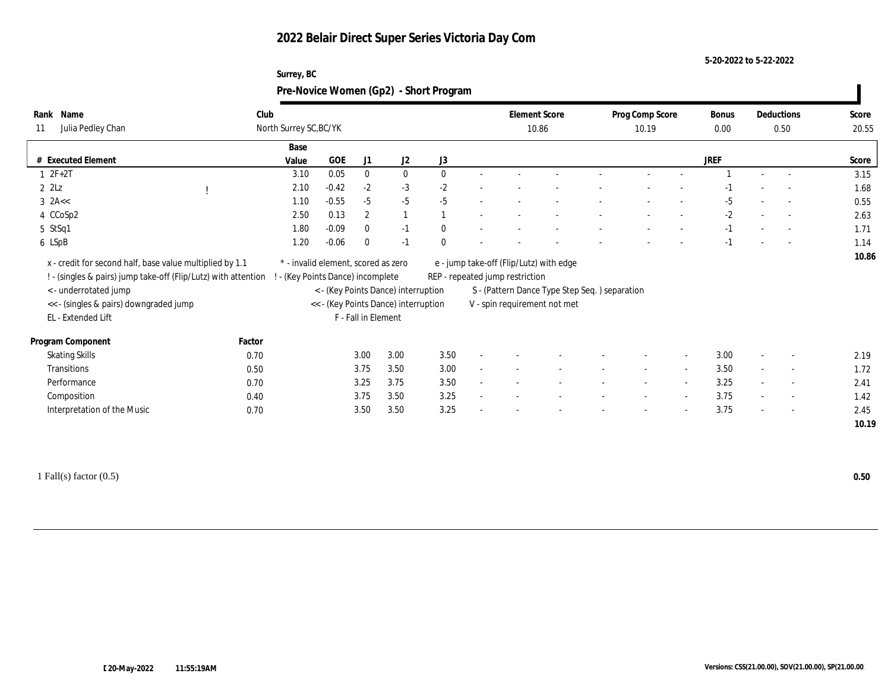#### **5-20-2022 to 5-22-2022**

| Surrey, BC                             |  |
|----------------------------------------|--|
| Pre-Novice Women (Gp2) - Short Program |  |

| Name<br>Rank<br>Julia Pedley Chan<br>11                                                                                                                 | Club   | North Surrey SC, BC/YK              |         |                     |                                                                             |          |                          | <b>Element Score</b><br>10.86   |                                                                               | Prog Comp Score<br>10.19 |                          | <b>Bonus</b><br>0.00 |        | Deductions<br>0.50       | Score<br>20.55 |
|---------------------------------------------------------------------------------------------------------------------------------------------------------|--------|-------------------------------------|---------|---------------------|-----------------------------------------------------------------------------|----------|--------------------------|---------------------------------|-------------------------------------------------------------------------------|--------------------------|--------------------------|----------------------|--------|--------------------------|----------------|
|                                                                                                                                                         |        |                                     |         |                     |                                                                             |          |                          |                                 |                                                                               |                          |                          |                      |        |                          |                |
|                                                                                                                                                         |        | Base                                |         |                     |                                                                             |          |                          |                                 |                                                                               |                          |                          |                      |        |                          |                |
| <b>Executed Element</b><br>#                                                                                                                            |        | Value                               | GOE     | J1                  | J <sub>2</sub>                                                              | J3       |                          |                                 |                                                                               |                          |                          | <b>JREF</b>          |        |                          | Score          |
| $1 2F + 2T$                                                                                                                                             |        | 3.10                                | 0.05    | $\bf{0}$            | $\bf{0}$                                                                    | $\theta$ |                          |                                 |                                                                               |                          |                          |                      |        | $\overline{\phantom{a}}$ | 3.15           |
| $2$ $2\text{L}z$                                                                                                                                        |        | 2.10                                | $-0.42$ | $-2$                | $-3$                                                                        | $-2$     |                          |                                 |                                                                               |                          |                          |                      |        | $\overline{\phantom{a}}$ | 1.68           |
| $3$ 2A $\lt$                                                                                                                                            |        | 1.10                                | $-0.55$ | $-5$                | $-5$                                                                        | $-5$     |                          |                                 |                                                                               |                          |                          | $-5$                 |        | $\overline{\phantom{a}}$ | 0.55           |
| 4 CCoSp2                                                                                                                                                |        | 2.50                                | 0.13    | $\mathbf{2}$        |                                                                             |          | $\overline{\phantom{a}}$ |                                 |                                                                               |                          |                          | $-2$                 |        | $\overline{\phantom{a}}$ | 2.63           |
| 5 StSq1                                                                                                                                                 |        | 1.80                                | $-0.09$ | $\mathbf{0}$        | $-1$                                                                        | $\bf{0}$ |                          |                                 |                                                                               |                          |                          | $-1$                 |        | $\overline{\phantom{a}}$ | 1.71           |
| 6 LSpB                                                                                                                                                  |        | 1.20                                | $-0.06$ | $\mathbf{0}$        | $-1$                                                                        | $\Omega$ |                          |                                 |                                                                               |                          |                          | $-1$                 |        | $\sim$                   | 1.14           |
| x - credit for second half, base value multiplied by 1.1                                                                                                |        | * - invalid element, scored as zero |         |                     |                                                                             |          |                          |                                 | e - jump take-off (Flip/Lutz) with edge                                       |                          |                          |                      |        |                          | 10.86          |
| ! - (singles & pairs) jump take-off (Flip/Lutz) with attention<br>< - underrotated jump<br><< - (singles & pairs) downgraded jump<br>EL - Extended Lift |        | - (Key Points Dance) incomplete     |         | F - Fall in Element | < - (Key Points Dance) interruption<br><< - (Key Points Dance) interruption |          |                          | REP - repeated jump restriction | S - (Pattern Dance Type Step Seq.) separation<br>V - spin requirement not met |                          |                          |                      |        |                          |                |
| Program Component                                                                                                                                       | Factor |                                     |         |                     |                                                                             |          |                          |                                 |                                                                               |                          |                          |                      |        |                          |                |
| <b>Skating Skills</b>                                                                                                                                   | 0.70   |                                     |         | 3.00                | 3.00                                                                        | 3.50     |                          |                                 |                                                                               |                          |                          | 3.00                 |        | $\overline{\phantom{0}}$ | 2.19           |
| Transitions                                                                                                                                             | 0.50   |                                     |         | 3.75                | 3.50                                                                        | 3.00     |                          |                                 |                                                                               |                          |                          | 3.50                 |        | $\overline{\phantom{a}}$ | 1.72           |
| Performance                                                                                                                                             | 0.70   |                                     |         | 3.25                | 3.75                                                                        | 3.50     |                          |                                 |                                                                               |                          |                          | 3.25                 |        | $\overline{\phantom{0}}$ | 2.41           |
|                                                                                                                                                         | 0.40   |                                     |         | 3.75                | 3.50                                                                        | 3.25     |                          |                                 |                                                                               |                          |                          | 3.75                 |        | $\overline{\phantom{a}}$ | 1.42           |
| Composition<br>Interpretation of the Music                                                                                                              | 0.70   |                                     |         | 3.50                | 3.50                                                                        | 3.25     |                          |                                 |                                                                               |                          | $\overline{\phantom{a}}$ | 3.75                 | $\sim$ | $\overline{a}$           | 2.45           |

1 Fall(s) factor (0.5) **0.50**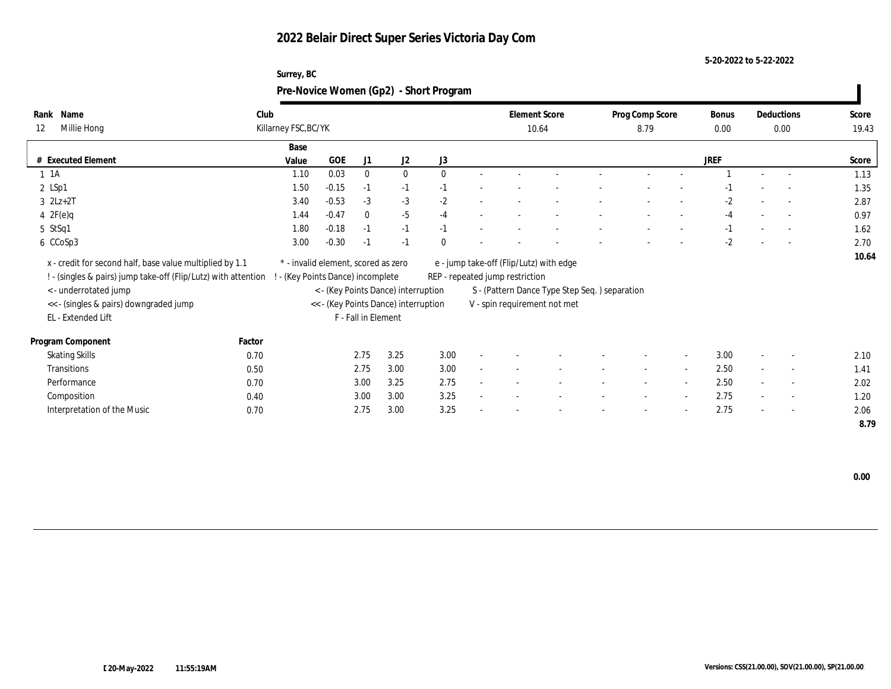**5-20-2022 to 5-22-2022**

|             | Surrey, BC                             |                      |                 |       |            |       |
|-------------|----------------------------------------|----------------------|-----------------|-------|------------|-------|
|             | Pre-Novice Women (Gp2) - Short Program |                      |                 |       |            |       |
| Name        | Club                                   | <b>Element Score</b> | Prog Comp Score | Bonus | Deductions | Score |
| Millie Hong | Killarney FSC, BC/YK                   | 10.64                | 8.79            | 0.00  | 0.00       | 19.43 |

| Millie Hong<br>12                                                                                                                                   |        | Killarney FSC, BC/YK                                                   |            |                     |                                      |          |                          | 10.64                           |                                                                                          | 8.79                     |                          | 0.00        | 0.00                     | 19.43 |
|-----------------------------------------------------------------------------------------------------------------------------------------------------|--------|------------------------------------------------------------------------|------------|---------------------|--------------------------------------|----------|--------------------------|---------------------------------|------------------------------------------------------------------------------------------|--------------------------|--------------------------|-------------|--------------------------|-------|
|                                                                                                                                                     |        | Base                                                                   |            |                     |                                      |          |                          |                                 |                                                                                          |                          |                          |             |                          |       |
| # Executed Element                                                                                                                                  |        | Value                                                                  | <b>GOE</b> | J1                  | J2                                   | J3       |                          |                                 |                                                                                          |                          |                          | <b>JREF</b> |                          | Score |
| $1 \t1A$                                                                                                                                            |        | 1.10                                                                   | 0.03       | $\bf{0}$            | $\bf{0}$                             | $\theta$ |                          |                                 |                                                                                          |                          |                          |             | $\overline{\phantom{a}}$ | 1.13  |
| $2$ LSp1                                                                                                                                            |        | 1.50                                                                   | $-0.15$    | $-1$                | $-1$                                 | $-1$     | $\overline{\phantom{a}}$ |                                 |                                                                                          |                          |                          |             | $\overline{\phantom{0}}$ | 1.35  |
| $3$ $2Lz+2T$                                                                                                                                        |        | 3.40                                                                   | $-0.53$    | $-3$                | $-3$                                 | $-2$     |                          |                                 |                                                                                          |                          |                          | $-2$        | $\overline{a}$           | 2.87  |
| $4 \text{ } 2F(e)q$                                                                                                                                 |        | 1.44                                                                   | $-0.47$    | $\Omega$            | $-5$                                 | $-4$     |                          |                                 |                                                                                          |                          |                          | $-4$        | $\overline{a}$           | 0.97  |
| $5$ StSq1                                                                                                                                           |        | 1.80                                                                   | $-0.18$    | -1                  | $-1$                                 | $-1$     |                          |                                 |                                                                                          |                          |                          | $-1$        | $\overline{a}$           | 1.62  |
| 6 CCoSp3                                                                                                                                            |        | 3.00                                                                   | $-0.30$    | -1                  | $-1$                                 | $\Omega$ |                          |                                 |                                                                                          |                          |                          | $-2$        | $\sim 100$               | 2.70  |
| x - credit for second half, base value multiplied by 1.1<br>! - (singles & pairs) jump take-off (Flip/Lutz) with attention<br>< - underrotated jump |        | * - invalid element, scored as zero<br>- (Key Points Dance) incomplete |            |                     | < - (Key Points Dance) interruption  |          |                          | REP - repeated jump restriction | e - jump take-off (Flip/Lutz) with edge<br>S - (Pattern Dance Type Step Seq.) separation |                          |                          |             |                          | 10.64 |
| << - (singles & pairs) downgraded jump                                                                                                              |        |                                                                        |            |                     | << - (Key Points Dance) interruption |          |                          |                                 | V - spin requirement not met                                                             |                          |                          |             |                          |       |
| EL - Extended Lift                                                                                                                                  |        |                                                                        |            | F - Fall in Element |                                      |          |                          |                                 |                                                                                          |                          |                          |             |                          |       |
| Program Component                                                                                                                                   | Factor |                                                                        |            |                     |                                      |          |                          |                                 |                                                                                          |                          |                          |             |                          |       |
| <b>Skating Skills</b>                                                                                                                               | 0.70   |                                                                        |            | 2.75                | 3.25                                 | 3.00     |                          |                                 |                                                                                          |                          |                          | 3.00        | $\overline{\phantom{0}}$ | 2.10  |
| Transitions                                                                                                                                         | 0.50   |                                                                        |            | 2.75                | 3.00                                 | 3.00     |                          |                                 |                                                                                          | $\sim$                   | $\sim$                   | 2.50        | $\sim$                   | 1.41  |
| Performance                                                                                                                                         | 0.70   |                                                                        |            | 3.00                | 3.25                                 | 2.75     |                          |                                 |                                                                                          |                          | $\overline{\phantom{a}}$ | 2.50        | $\overline{\phantom{a}}$ | 2.02  |
| Composition                                                                                                                                         | 0.40   |                                                                        |            | 3.00                | 3.00                                 | 3.25     | $\overline{\phantom{a}}$ |                                 |                                                                                          | $\overline{\phantom{a}}$ | $\sim$                   | 2.75        | $\sim$                   | 1.20  |
| Interpretation of the Music                                                                                                                         | 0.70   |                                                                        |            | 2.75                | 3.00                                 | 3.25     | $\sim$                   |                                 |                                                                                          |                          |                          | 2.75        | $\overline{\phantom{a}}$ | 2.06  |
|                                                                                                                                                     |        |                                                                        |            |                     |                                      |          |                          |                                 |                                                                                          |                          |                          |             |                          | 8.79  |

 **0.00**

**Rank**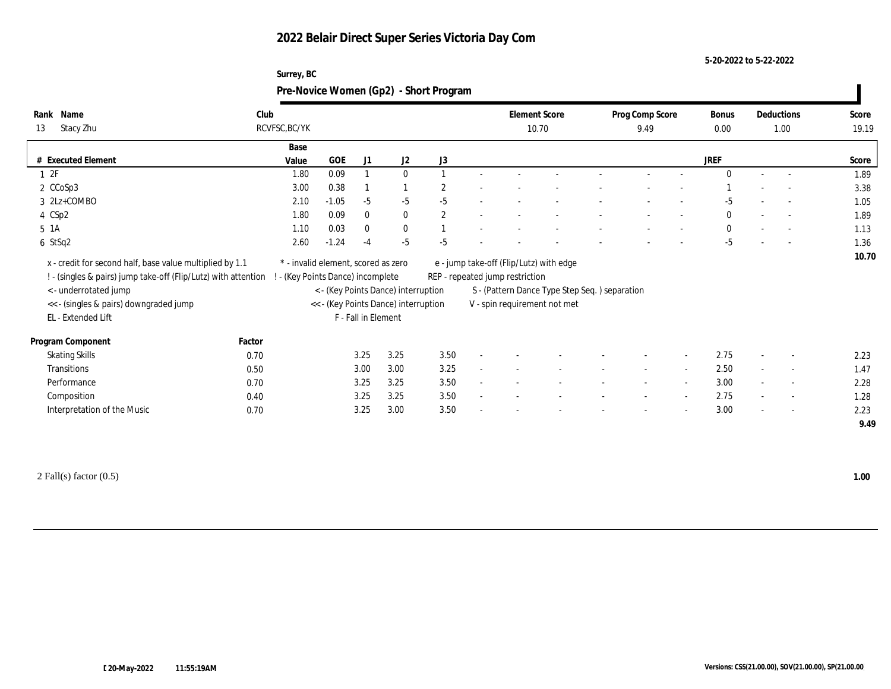**Surrey, BC**

**5-20-2022 to 5-22-2022**

|                                                                                                                            |        |                                                                        |         |                     |                                      | Pre-Novice Women (Gp2) - Short Program |                                                                            |                                               |                          |                          |                      |        |                          |                |
|----------------------------------------------------------------------------------------------------------------------------|--------|------------------------------------------------------------------------|---------|---------------------|--------------------------------------|----------------------------------------|----------------------------------------------------------------------------|-----------------------------------------------|--------------------------|--------------------------|----------------------|--------|--------------------------|----------------|
| Rank Name<br>Stacy Zhu<br>13                                                                                               | Club   | RCVFSC, BC/YK                                                          |         |                     |                                      |                                        | <b>Element Score</b><br>10.70                                              |                                               | Prog Comp Score<br>9.49  |                          | <b>Bonus</b><br>0.00 |        | Deductions<br>1.00       | Score<br>19.19 |
|                                                                                                                            |        | Base                                                                   |         |                     |                                      |                                        |                                                                            |                                               |                          |                          |                      |        |                          |                |
| # Executed Element                                                                                                         |        | Value                                                                  | GOE     | J1                  | J <sub>2</sub>                       | J3                                     |                                                                            |                                               |                          |                          | <b>JREF</b>          |        |                          | Score          |
| 12F                                                                                                                        |        | 1.80                                                                   | 0.09    |                     | $\mathbf{0}$                         |                                        |                                                                            |                                               |                          |                          |                      |        |                          | 1.89           |
| 2 CCoSp3                                                                                                                   |        | 3.00                                                                   | 0.38    |                     |                                      | $\overline{2}$                         |                                                                            |                                               |                          |                          |                      |        |                          | 3.38           |
| 3 2Lz+COMBO                                                                                                                |        | 2.10                                                                   | $-1.05$ | $-5$                | $-5$                                 | $-5$                                   |                                                                            |                                               |                          |                          | -5                   |        | $\overline{a}$           | 1.05           |
| 4 CSp2                                                                                                                     |        | 1.80                                                                   | 0.09    | $\mathbf{0}$        | $\mathbf{0}$                         | $\mathbf{2}$                           |                                                                            |                                               |                          |                          | $\mathbf{0}$         |        | $\overline{\phantom{a}}$ | 1.89           |
| 5 1A                                                                                                                       |        | 1.10                                                                   | 0.03    | $\mathbf{0}$        | $\bf{0}$                             |                                        |                                                                            |                                               |                          |                          | $\Omega$             |        | $\sim$                   | 1.13           |
| 6 StSq2                                                                                                                    |        | 2.60                                                                   | $-1.24$ | -4                  | $-5$                                 | $-5$                                   |                                                                            |                                               |                          |                          | $-5$                 |        | $\sim$                   | 1.36           |
| x - credit for second half, base value multiplied by 1.1<br>! - (singles & pairs) jump take-off (Flip/Lutz) with attention |        | * - invalid element, scored as zero<br>- (Key Points Dance) incomplete |         |                     |                                      |                                        | e - jump take-off (Flip/Lutz) with edge<br>REP - repeated jump restriction |                                               |                          |                          |                      |        |                          | 10.70          |
| < - underrotated jump                                                                                                      |        |                                                                        |         |                     | < - (Key Points Dance) interruption  |                                        |                                                                            | S - (Pattern Dance Type Step Seq.) separation |                          |                          |                      |        |                          |                |
| << - (singles & pairs) downgraded jump                                                                                     |        |                                                                        |         |                     | << - (Key Points Dance) interruption |                                        | V - spin requirement not met                                               |                                               |                          |                          |                      |        |                          |                |
| EL - Extended Lift                                                                                                         |        |                                                                        |         | F - Fall in Element |                                      |                                        |                                                                            |                                               |                          |                          |                      |        |                          |                |
| Program Component                                                                                                          | Factor |                                                                        |         |                     |                                      |                                        |                                                                            |                                               |                          |                          |                      |        |                          |                |
| <b>Skating Skills</b>                                                                                                      | 0.70   |                                                                        |         | 3.25                | 3.25                                 | 3.50                                   |                                                                            |                                               |                          |                          | 2.75                 |        | $\overline{\phantom{a}}$ | 2.23           |
| Transitions                                                                                                                | 0.50   |                                                                        |         | 3.00                | 3.00                                 | 3.25                                   |                                                                            |                                               | $\overline{\phantom{a}}$ | $\sim$                   | 2.50                 | $\sim$ | $\sim$                   | 1.47           |
| Performance                                                                                                                | 0.70   |                                                                        |         | 3.25                | 3.25                                 | 3.50                                   |                                                                            |                                               |                          | $\overline{\phantom{a}}$ | 3.00                 |        | $\overline{\phantom{a}}$ | 2.28           |
| Composition                                                                                                                | 0.40   |                                                                        |         | 3.25                | 3.25                                 | 3.50                                   |                                                                            |                                               |                          | $\sim$                   | 2.75                 |        | $\overline{\phantom{a}}$ | 1.28           |
| Interpretation of the Music                                                                                                | 0.70   |                                                                        |         | 3.25                | 3.00                                 | 3.50                                   |                                                                            |                                               |                          |                          | 3.00                 |        | $\overline{\phantom{a}}$ | 2.23           |
|                                                                                                                            |        |                                                                        |         |                     |                                      |                                        |                                                                            |                                               |                          |                          |                      |        |                          | 9.49           |

2 Fall(s) factor (0.5) **1.00**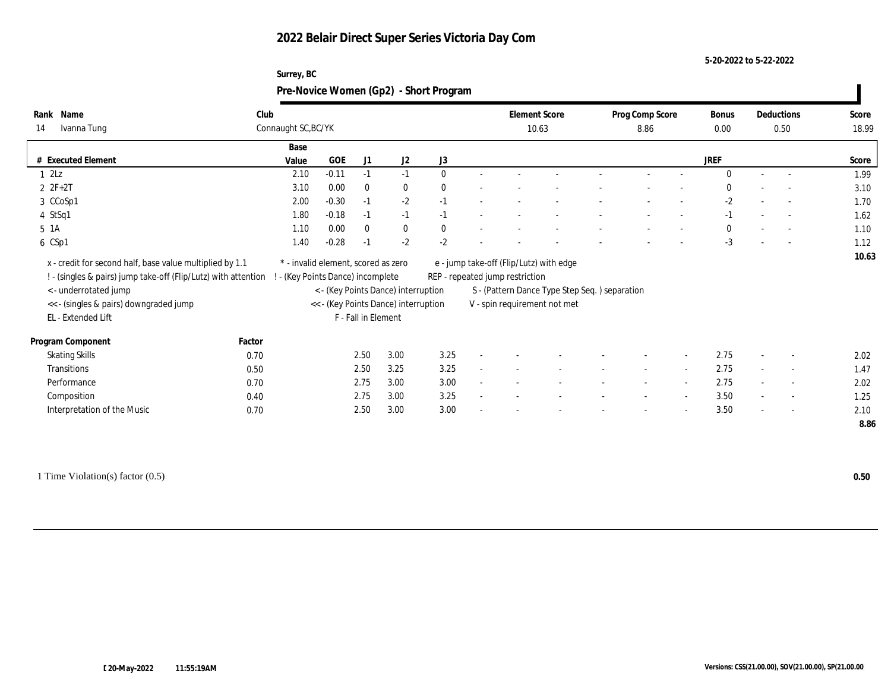**5-20-2022 to 5-22-2022**

|                                                                |        | Surrey, BC                          |              |                     |                                      | Pre-Novice Women (Gp2) - Short Program |                                 |                                               |                          |                          |             |                          |       |
|----------------------------------------------------------------|--------|-------------------------------------|--------------|---------------------|--------------------------------------|----------------------------------------|---------------------------------|-----------------------------------------------|--------------------------|--------------------------|-------------|--------------------------|-------|
| Rank Name                                                      | Club   |                                     |              |                     |                                      |                                        | <b>Element Score</b>            |                                               | Prog Comp Score          |                          | Bonus       | Deductions               | Score |
| Ivanna Tung<br>14                                              |        | Connaught SC, BC/YK                 |              |                     |                                      |                                        | 10.63                           |                                               | 8.86                     |                          | 0.00        | 0.50                     | 18.99 |
|                                                                |        | Base                                |              |                     |                                      |                                        |                                 |                                               |                          |                          |             |                          |       |
| # Executed Element                                             |        | Value                               | $_{\rm GOE}$ | J1                  | J <sub>2</sub>                       | J3                                     |                                 |                                               |                          |                          | <b>JREF</b> |                          | Score |
| $1 \t2Lz$                                                      |        | 2.10                                | $-0.11$      | $-1$                | $-1$                                 | $\Omega$                               |                                 |                                               |                          |                          | $\Omega$    |                          | 1.99  |
| $2 ZF+2T$                                                      |        | 3.10                                | 0.00         | $\mathbf{0}$        | $\bf{0}$                             |                                        |                                 |                                               |                          |                          |             |                          | 3.10  |
| 3 CCoSp1                                                       |        | 2.00                                | $-0.30$      | $-1$                | $-2$                                 | $-1$                                   |                                 |                                               |                          |                          | $-2$        | $\overline{a}$           | 1.70  |
| 4 StSq1                                                        |        | 1.80                                | $-0.18$      | $-1$                | $-1$                                 | $-1$                                   |                                 |                                               |                          |                          | $-1$        | $\sim$                   | 1.62  |
| $5\;1A$                                                        |        | 1.10                                | 0.00         | $\bf{0}$            | $\bf{0}$                             | $\mathbf{0}$                           |                                 |                                               |                          |                          | $\Omega$    | $\overline{\phantom{a}}$ | 1.10  |
| 6 CSp1                                                         |        | 1.40                                | $-0.28$      | -1                  | $-2$                                 | $-2$                                   |                                 |                                               |                          |                          | $-3$        | $\overline{a}$           | 1.12  |
| x - credit for second half, base value multiplied by 1.1       |        | * - invalid element, scored as zero |              |                     |                                      |                                        |                                 | e - jump take-off (Flip/Lutz) with edge       |                          |                          |             |                          | 10.63 |
| ! - (singles & pairs) jump take-off (Flip/Lutz) with attention |        | - (Key Points Dance) incomplete     |              |                     |                                      |                                        | REP - repeated jump restriction |                                               |                          |                          |             |                          |       |
| <- underrotated jump                                           |        |                                     |              |                     | < - (Key Points Dance) interruption  |                                        |                                 | S - (Pattern Dance Type Step Seq.) separation |                          |                          |             |                          |       |
| << - (singles & pairs) downgraded jump                         |        |                                     |              |                     | << - (Key Points Dance) interruption |                                        |                                 | V - spin requirement not met                  |                          |                          |             |                          |       |
| EL - Extended Lift                                             |        |                                     |              | F - Fall in Element |                                      |                                        |                                 |                                               |                          |                          |             |                          |       |
| Program Component                                              | Factor |                                     |              |                     |                                      |                                        |                                 |                                               |                          |                          |             |                          |       |
| <b>Skating Skills</b>                                          | 0.70   |                                     |              | 2.50                | 3.00                                 | 3.25                                   |                                 |                                               |                          | $\overline{\phantom{a}}$ | 2.75        |                          | 2.02  |
| Transitions                                                    | 0.50   |                                     |              | 2.50                | 3.25                                 | 3.25                                   |                                 |                                               | $\overline{\phantom{a}}$ | $\overline{\phantom{a}}$ | 2.75        | $\overline{\phantom{a}}$ | 1.47  |
| Performance                                                    | 0.70   |                                     |              | 2.75                | 3.00                                 | 3.00                                   |                                 |                                               |                          | $\overline{\phantom{a}}$ | 2.75        | $\overline{\phantom{a}}$ | 2.02  |
| Composition                                                    | 0.40   |                                     |              | 2.75                | 3.00                                 | 3.25                                   |                                 |                                               |                          | $\sim$                   | 3.50        | $\sim$                   | 1.25  |
| Interpretation of the Music                                    | 0.70   |                                     |              | 2.50                | 3.00                                 | 3.00                                   |                                 |                                               |                          |                          | 3.50        |                          | 2.10  |
|                                                                |        |                                     |              |                     |                                      |                                        |                                 |                                               |                          |                          |             |                          | 8.86  |
|                                                                |        |                                     |              |                     |                                      |                                        |                                 |                                               |                          |                          |             |                          |       |

1 Time Violation(s) factor (0.5) **0.50**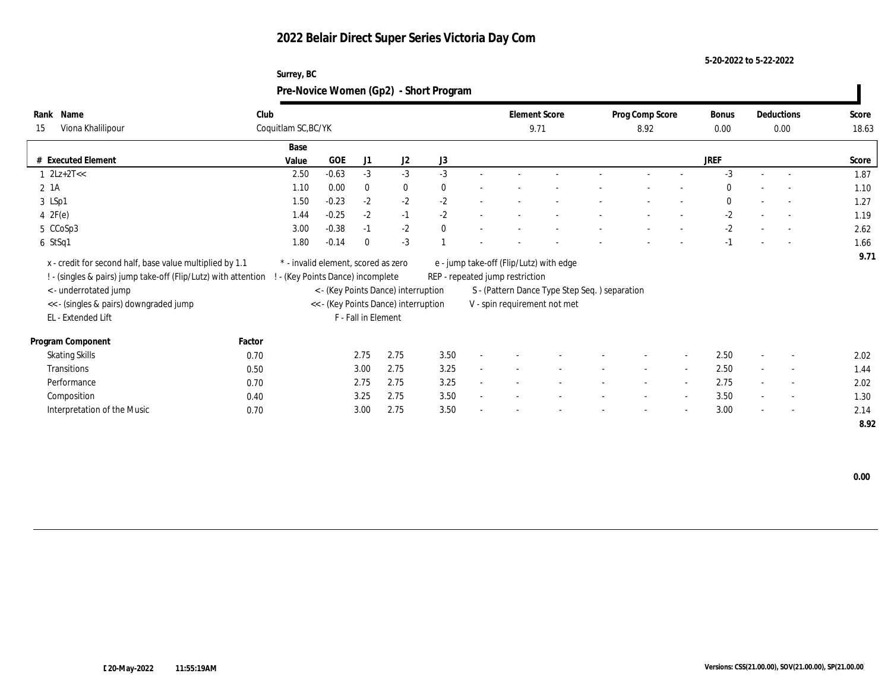#### **5-20-2022 to 5-22-2022**

| Surrey, BC                             |  |
|----------------------------------------|--|
| Pre-Novice Women (Gp2) - Short Program |  |

| Name<br>Rank                                                   | Club                |                                     |                     |                                      |          |              |                                 | <b>Element Score</b>                          | Prog Comp Score          |                          | Bonus       |        | Deductions               | Score |
|----------------------------------------------------------------|---------------------|-------------------------------------|---------------------|--------------------------------------|----------|--------------|---------------------------------|-----------------------------------------------|--------------------------|--------------------------|-------------|--------|--------------------------|-------|
| Viona Khalilipour<br>15                                        | Coquitlam SC, BC/YK |                                     |                     |                                      |          |              | 9.71                            |                                               | 8.92                     |                          | $0.00\,$    |        | 0.00                     | 18.63 |
|                                                                |                     | Base                                |                     |                                      |          |              |                                 |                                               |                          |                          |             |        |                          |       |
| # Executed Element                                             |                     | GOE<br>Value                        | J1                  | J2                                   | J3       |              |                                 |                                               |                          |                          | <b>JREF</b> |        |                          | Score |
| $1 \quad 2Lz+2T<<$                                             |                     | $-0.63$<br>2.50                     | $-3$                | $-3$                                 | $-3$     |              |                                 |                                               |                          |                          | $-3$        |        | $\overline{a}$           | 1.87  |
| $2 \; 1A$                                                      |                     | 0.00<br>1.10                        | $\bf{0}$            | $\bf{0}$                             | $\theta$ |              |                                 |                                               |                          |                          | $\bf{0}$    |        | $\overline{\phantom{a}}$ | 1.10  |
| 3 LSp1                                                         |                     | $-0.23$<br>1.50                     | $-2$                | $-2$                                 | $-2$     |              |                                 |                                               |                          |                          | $\bf{0}$    |        | $\sim$                   | 1.27  |
| 4 $2F(e)$                                                      |                     | $-0.25$<br>1.44                     | $-2$                | $-1$                                 | $-2$     |              |                                 |                                               |                          |                          | $-2$        |        | $\overline{\phantom{a}}$ | 1.19  |
| 5 CCoSp3                                                       |                     | $-0.38$<br>3.00                     | $-1$                | $-2$                                 | $\theta$ |              |                                 |                                               |                          |                          | $-2$        |        |                          | 2.62  |
| 6 StSq1                                                        |                     | 1.80<br>$-0.14$                     | $\bf{0}$            | $-3$                                 |          |              |                                 |                                               |                          |                          | $-1$        |        | $\overline{a}$           | 1.66  |
| x - credit for second half, base value multiplied by 1.1       |                     | * - invalid element, scored as zero |                     |                                      |          |              |                                 | e - jump take-off (Flip/Lutz) with edge       |                          |                          |             |        |                          | 9.71  |
| ! - (singles & pairs) jump take-off (Flip/Lutz) with attention |                     | - (Key Points Dance) incomplete     |                     |                                      |          |              | REP - repeated jump restriction |                                               |                          |                          |             |        |                          |       |
| < - underrotated jump                                          |                     |                                     |                     | < - (Key Points Dance) interruption  |          |              |                                 | S - (Pattern Dance Type Step Seq.) separation |                          |                          |             |        |                          |       |
| << - (singles & pairs) downgraded jump                         |                     |                                     |                     | << - (Key Points Dance) interruption |          |              |                                 | V - spin requirement not met                  |                          |                          |             |        |                          |       |
| EL - Extended Lift                                             |                     |                                     | F - Fall in Element |                                      |          |              |                                 |                                               |                          |                          |             |        |                          |       |
|                                                                |                     |                                     |                     |                                      |          |              |                                 |                                               |                          |                          |             |        |                          |       |
| Program Component                                              | Factor              |                                     |                     |                                      |          |              |                                 |                                               |                          |                          |             |        |                          |       |
| <b>Skating Skills</b>                                          | 0.70                |                                     | 2.75                | 2.75                                 | 3.50     |              |                                 |                                               |                          | $\sim$                   | 2.50        |        | $\overline{\phantom{a}}$ | 2.02  |
| <b>Transitions</b>                                             | 0.50                |                                     | 3.00                | 2.75                                 | 3.25     | $\mathbf{r}$ |                                 |                                               | $\overline{\phantom{a}}$ | $\overline{\phantom{a}}$ | 2.50        |        | $\sim$                   | 1.44  |
| Performance                                                    | 0.70                |                                     | 2.75                | 2.75                                 | 3.25     | $\sim$       |                                 |                                               | $\overline{\phantom{a}}$ | $\sim$                   | 2.75        | $\sim$ | $\overline{\phantom{a}}$ | 2.02  |
| Composition                                                    | 0.40                |                                     | 3.25                | 2.75                                 | 3.50     | $\sim$       |                                 |                                               |                          | $\overline{\phantom{a}}$ | 3.50        | $\sim$ | $\overline{\phantom{a}}$ | 1.30  |
| Interpretation of the Music                                    | 0.70                |                                     | 3.00                | 2.75                                 | 3.50     |              |                                 |                                               |                          | $\overline{\phantom{a}}$ | 3.00        | $\sim$ | $\sim$                   | 2.14  |
|                                                                |                     |                                     |                     |                                      |          |              |                                 |                                               |                          |                          |             |        |                          | 8.92  |

 **0.00**

 $\overline{\phantom{a}}$